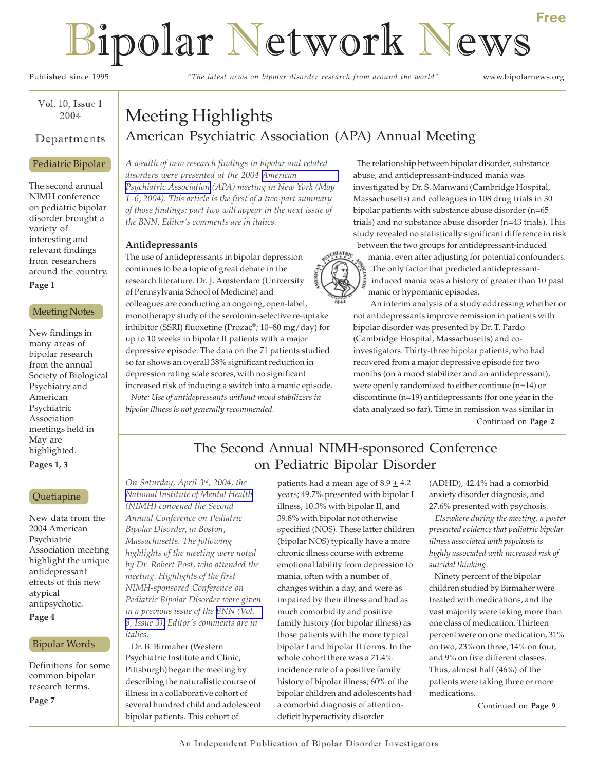# Bipolar Network News

Published since 1995 *"The latest news on bipolar disorder research from around the world"* www.bipolarnews.org

Vol. 10, Issue 1 2004

#### Departments

#### Pediatric Bipolar

The second annual NIMH conference on pediatric bipolar disorder brought a variety of interesting and relevant findings from researchers around the country. **Page 1**

### Meeting Notes

New findings in many areas of bipolar research from the annual Society of Biological Psychiatry and American Psychiatric Association meetings held in May are highlighted.

**Pages 1, 3**

#### Quetiapine

New data from the 2004 American Psychiatric Association meeting highlight the unique antidepressant effects of this new atypical antipsychotic. **Page 4**

#### Bipolar Words

Definitions for some common bipolar research terms. **Page 7**

# Meeting Highlights American Psychiatric Association (APA) Annual Meeting

*A wealth of new research findings in bipolar and related disorders were presented at the 2004 [American](http://www.psych.org/) [Psychiatric Association](http://www.psych.org/) (APA) meeting in New York (May 1–6, 2004). This article is the first of a two-part summary of those findings; part two will appear in the next issue of the BNN. Editor's comments are in italics.*

#### **Antidepressants**

ENCHIATRIC The use of antidepressants in bipolar depression continues to be a topic of great debate in the research literature. Dr. J. Amsterdam (University of Pennsylvania School of Medicine) and colleagues are conducting an ongoing, open-label, monotherapy study of the serotonin-selective re-uptake inhibitor (SSRI) fluoxetine (Prozac®; 10–80 mg/day) for up to 10 weeks in bipolar II patients with a major depressive episode. The data on the 71 patients studied so far shows an overall 38% significant reduction in depression rating scale scores, with no significant increased risk of inducing a switch into a manic episode.

 *Note: Use of antidepressants without mood stabilizers in bipolar illness is not generally recommended.*

# The relationship between bipolar disorder, substance abuse, and antidepressant-induced mania was investigated by Dr. S. Manwani (Cambridge Hospital, Massachusetts) and colleagues in 108 drug trials in 30

bipolar patients with substance abuse disorder (n=65 trials) and no substance abuse disorder (n=43 trials). This study revealed no statistically significant difference in risk between the two groups for antidepressant-induced

mania, even after adjusting for potential confounders. The only factor that predicted antidepressantinduced mania was a history of greater than 10 past manic or hypomanic episodes.

 An interim analysis of a study addressing whether or not antidepressants improve remission in patients with bipolar disorder was presented by Dr. T. Pardo (Cambridge Hospital, Massachusetts) and coinvestigators. Thirty-three bipolar patients, who had recovered from a major depressive episode for two months (on a mood stabilizer and an antidepressant), were openly randomized to either continue (n=14) or discontinue (n=19) antidepressants (for one year in the data analyzed so far). Time in remission was similar in Continued on **Page 2**

## The Second Annual NIMH-sponsored Conference on Pediatric Bipolar Disorder

*On Saturday, April 3rd, 2004, the [National Institute of Mental Health](http://www.nimh.nih.gov/) (NIMH) convened the Second Annual Conference on Pediatric Bipolar Disorder, in Boston, Massachusetts. The following highlights of the meeting were noted by Dr. Robert Post, who attended the meeting. Highlights of the first NIMH-sponsored Conference on Pediatric Bipolar Disorder were given in a previous issue of the [BNN \(Vol.](http://www.bipolarnews.org/pdfs/bnnvol8iss3.pdf) [8, Issue 3\).](http://www.bipolarnews.org/pdfs/bnnvol8iss3.pdf) Editor's comments are in italics.*

 Dr. B. Birmaher (Western Psychiatric Institute and Clinic, Pittsburgh) began the meeting by describing the naturalistic course of illness in a collaborative cohort of several hundred child and adolescent bipolar patients. This cohort of

patients had a mean age of  $8.9 \pm 4.2$ years; 49.7% presented with bipolar I illness, 10.3% with bipolar II, and 39.8% with bipolar not otherwise specified (NOS). These latter children (bipolar NOS) typically have a more chronic illness course with extreme emotional lability from depression to mania, often with a number of changes within a day, and were as impaired by their illness and had as much comorbidity and positive family history (for bipolar illness) as those patients with the more typical bipolar I and bipolar II forms. In the whole cohort there was a 71.4% incidence rate of a positive family history of bipolar illness; 60% of the bipolar children and adolescents had a comorbid diagnosis of attentiondeficit hyperactivity disorder

(ADHD), 42.4% had a comorbid anxiety disorder diagnosis, and 27.6% presented with psychosis.

 *Elsewhere during the meeting, a poster presented evidence that pediatric bipolar illness associated with psychosis is highly associated with increased risk of suicidal thinking.*

Ninety percent of the bipolar children studied by Birmaher were treated with medications, and the vast majority were taking more than one class of medication. Thirteen percent were on one medication, 31% on two, 23% on three, 14% on four, and 9% on five different classes. Thus, almost half (46%) of the patients were taking three or more medications.

Continued on **Page 9**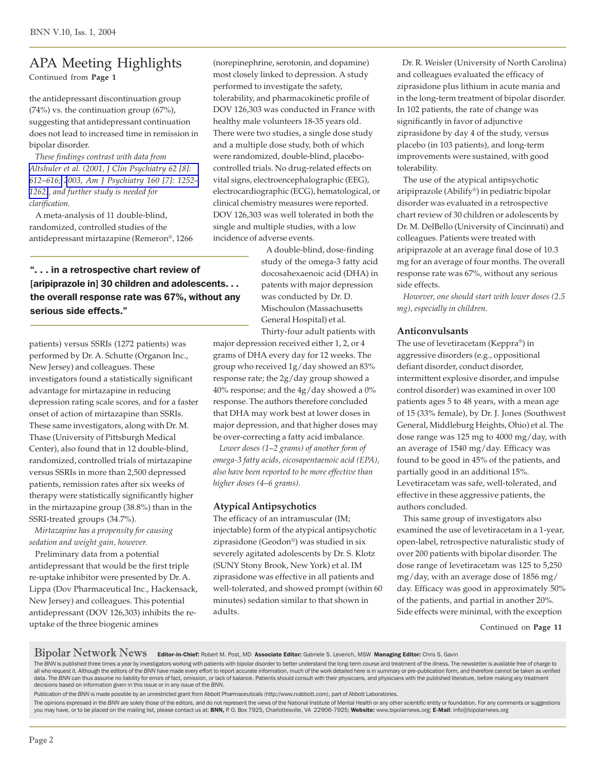# APA Meeting Highlights

Continued from **Page 1**

the antidepressant discontinuation group  $(74%)$  vs. the continuation group  $(67%)$ , suggesting that antidepressant continuation does not lead to increased time in remission in bipolar disorder.

 *These findings contrast with data from [Altshuler et al. \(2001, J Clin Psychiatry 62 \[8\]:](http://www.ncbi.nlm.nih.gov/entrez/query.fcgi?cmd=Retrieve&db=pubmed&dopt=Abstract&list_uids=11561933) 612*–*[616;](http://www.ncbi.nlm.nih.gov/entrez/query.fcgi?cmd=Retrieve&db=pubmed&dopt=Abstract&list_uids=11561933) [2003, Am J Psychiatry 160 \[7\]: 1252](http://www.ncbi.nlm.nih.gov/entrez/query.fcgi?cmd=Retrieve&db=pubmed&dopt=Abstract&list_uids=12832239)*– *[1262\)](http://www.ncbi.nlm.nih.gov/entrez/query.fcgi?cmd=Retrieve&db=pubmed&dopt=Abstract&list_uids=12832239), and further study is needed for clarification.*

 A meta-analysis of 11 double-blind, randomized, controlled studies of the antidepressant mirtazapine (Remeron®, 1266

". . . in a retrospective chart review of [aripiprazole in] 30 children and adolescents... the overall response rate was 67%, without any serious side effects."

patients) versus SSRIs (1272 patients) was performed by Dr. A. Schutte (Organon Inc., New Jersey) and colleagues. These investigators found a statistically significant advantage for mirtazapine in reducing depression rating scale scores, and for a faster onset of action of mirtazapine than SSRIs. These same investigators, along with Dr. M. Thase (University of Pittsburgh Medical Center), also found that in 12 double-blind, randomized, controlled trials of mirtazapine versus SSRIs in more than 2,500 depressed patients, remission rates after six weeks of therapy were statistically significantly higher in the mirtazapine group (38.8%) than in the SSRI-treated groups (34.7%).

 *Mirtazapine has a propensity for causing sedation and weight gain, however.*

 Preliminary data from a potential antidepressant that would be the first triple re-uptake inhibitor were presented by Dr. A. Lippa (Dov Pharmaceutical Inc., Hackensack, New Jersey) and colleagues. This potential antidepressant (DOV 126,303) inhibits the reuptake of the three biogenic amines

(norepinephrine, serotonin, and dopamine) most closely linked to depression. A study performed to investigate the safety, tolerability, and pharmacokinetic profile of DOV 126,303 was conducted in France with healthy male volunteers 18-35 years old. There were two studies, a single dose study and a multiple dose study, both of which were randomized, double-blind, placebocontrolled trials. No drug-related effects on vital signs, electroencephalographic (EEG), electrocardiographic (ECG), hematological, or clinical chemistry measures were reported. DOV 126,303 was well tolerated in both the single and multiple studies, with a low incidence of adverse events.

> A double-blind, dose-finding study of the omega-3 fatty acid docosahexaenoic acid (DHA) in patents with major depression was conducted by Dr. D. Mischoulon (Massachusetts General Hospital) et al. Thirty-four adult patients with

major depression received either 1, 2, or 4 grams of DHA every day for 12 weeks. The group who received 1g/day showed an 83% response rate; the 2g/day group showed a 40% response; and the 4g/day showed a 0% response. The authors therefore concluded that DHA may work best at lower doses in major depression, and that higher doses may be over-correcting a fatty acid imbalance.

 *Lower doses (1*–*2 grams) of another form of omega-3 fatty acids, eicosapentaenoic acid (EPA), also have been reported to be more effective than higher doses (4*–*6 grams).*

#### **Atypical Antipsychotics**

The efficacy of an intramuscular (IM; injectable) form of the atypical antipsychotic ziprasidone (Geodon®) was studied in six severely agitated adolescents by Dr. S. Klotz (SUNY Stony Brook, New York) et al. IM ziprasidone was effective in all patients and well-tolerated, and showed prompt (within 60 minutes) sedation similar to that shown in adults.

 Dr. R. Weisler (University of North Carolina) and colleagues evaluated the efficacy of ziprasidone plus lithium in acute mania and in the long-term treatment of bipolar disorder. In 102 patients, the rate of change was significantly in favor of adjunctive ziprasidone by day 4 of the study, versus placebo (in 103 patients), and long-term improvements were sustained, with good tolerability.

 The use of the atypical antipsychotic aripiprazole (Abilify®) in pediatric bipolar disorder was evaluated in a retrospective chart review of 30 children or adolescents by Dr. M. DelBello (University of Cincinnati) and colleagues. Patients were treated with aripiprazole at an average final dose of 10.3 mg for an average of four months. The overall response rate was 67%, without any serious side effects.

 *However, one should start with lower doses (2.5 mg), especially in children.*

#### **Anticonvulsants**

The use of levetiracetam (Keppra®) in aggressive disorders (e.g., oppositional defiant disorder, conduct disorder, intermittent explosive disorder, and impulse control disorder) was examined in over 100 patients ages 5 to 48 years, with a mean age of 15 (33% female), by Dr. J. Jones (Southwest General, Middleburg Heights, Ohio) et al. The dose range was 125 mg to 4000 mg/day, with an average of 1540 mg/day. Efficacy was found to be good in 45% of the patients, and partially good in an additional 15%. Levetiracetam was safe, well-tolerated, and effective in these aggressive patients, the authors concluded.

 This same group of investigators also examined the use of levetiracetam in a 1-year, open-label, retrospective naturalistic study of over 200 patients with bipolar disorder. The dose range of levetiracetam was 125 to 5,250 mg/day, with an average dose of 1856 mg/ day. Efficacy was good in approximately 50% of the patients, and partial in another 20%. Side effects were minimal, with the exception

Continued on **Page 11**

Bipolar Network News Editor-in-Chief: Robert M. Post, MD Associate Editor: Gabriele S. Leverich, MSW Managing Editor: Chris S. Gavin

The BNN is published three times a year by investigators working with patients with bipolar disorder to better understand the long-term course and treatment of the illness. The newsletter is available free of charge to all who request it. Although the editors of the BNN have made every effort to report accurate information, much of the work detailed here is in summary or pre-publication form, and therefore cannot be taken as verified data. The BNN can thus assume no liability for errors of fact, omission, or lack of balance. Patients should consult with their physicians, and physicians with the published literature, before making any treatment decisions based on information given in this issue or in any issue of the *BNN*.

Publication of the *BNN* is made possible by an unrestricted grant from Abbott Pharmaceuticals (http://www.rxabbott.com), part of Abbott Laboratories.

The opinions expressed in the BNN are solely those of the editors, and do not represent the views of the National Institute of Mental Health or any other scientific entity or foundation. For any comments or suggestions<br>you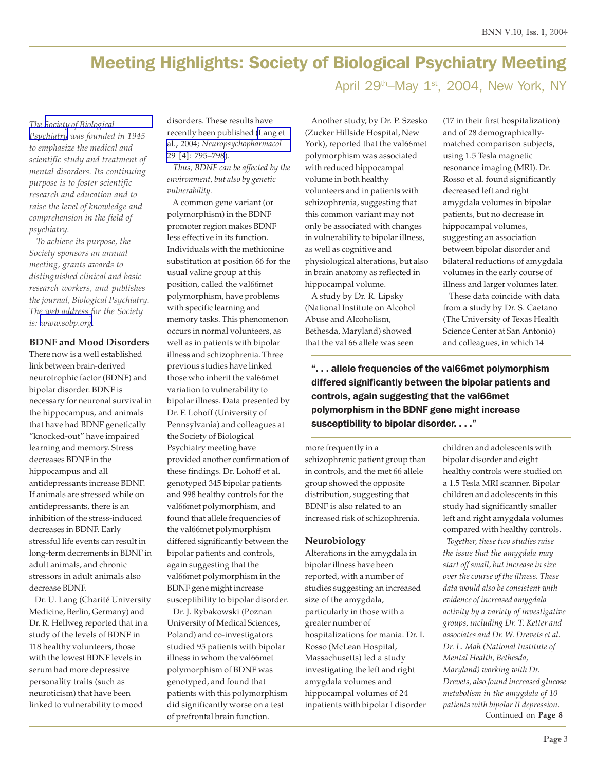# Meeting Highlights: Society of Biological Psychiatry Meeting

April 29<sup>th</sup>–May 1<sup>st</sup>, 2004, New York, NY

#### *The [Society of Biological](http://www.sobp.org/)*

*[Psychiatry](http://www.sobp.org/) was founded in 1945 to emphasize the medical and scientific study and treatment of mental disorders. Its continuing purpose is to foster scientific research and education and to raise the level of knowledge and comprehension in the field of psychiatry.*

 *To achieve its purpose, the Society sponsors an annual meeting, grants awards to distinguished clinical and basic research workers, and publishes the journal, Biological Psychiatry. The web address for the Society is: [www.sobp.org](http://www.sobp.org/).*

#### **BDNF and Mood Disorders**

There now is a well established link between brain-derived neurotrophic factor (BDNF) and bipolar disorder. BDNF is necessary for neuronal survival in the hippocampus, and animals that have had BDNF genetically "knocked-out" have impaired learning and memory. Stress decreases BDNF in the hippocampus and all antidepressants increase BDNF. If animals are stressed while on antidepressants, there is an inhibition of the stress-induced decreases in BDNF. Early stressful life events can result in long-term decrements in BDNF in adult animals, and chronic stressors in adult animals also decrease BDNF.

 Dr. U. Lang (Charité University Medicine, Berlin, Germany) and Dr. R. Hellweg reported that in a study of the levels of BDNF in 118 healthy volunteers, those with the lowest BDNF levels in serum had more depressive personality traits (such as neuroticism) that have been linked to vulnerability to mood

disorders. These results have recently been published [\(Lang et](http://www.ncbi.nlm.nih.gov/entrez/query.fcgi?cmd=Retrieve&db=pubmed&dopt=Abstract&list_uids=14735133) al., 2004; *[Neuropsychopharmacol](http://www.ncbi.nlm.nih.gov/entrez/query.fcgi?cmd=Retrieve&db=pubmed&dopt=Abstract&list_uids=14735133)* [29 \[4\]: 795–798](http://www.ncbi.nlm.nih.gov/entrez/query.fcgi?cmd=Retrieve&db=pubmed&dopt=Abstract&list_uids=14735133)).

 *Thus, BDNF can be affected by the environment, but also by genetic vulnerability.*

 A common gene variant (or polymorphism) in the BDNF promoter region makes BDNF less effective in its function. Individuals with the methionine substitution at position 66 for the usual valine group at this position, called the val66met polymorphism, have problems with specific learning and memory tasks. This phenomenon occurs in normal volunteers, as well as in patients with bipolar illness and schizophrenia. Three previous studies have linked those who inherit the val66met variation to vulnerability to bipolar illness. Data presented by Dr. F. Lohoff (University of Pennsylvania) and colleagues at the Society of Biological Psychiatry meeting have provided another confirmation of these findings. Dr. Lohoff et al. genotyped 345 bipolar patients and 998 healthy controls for the val66met polymorphism, and found that allele frequencies of the val66met polymorphism differed significantly between the bipolar patients and controls, again suggesting that the val66met polymorphism in the BDNF gene might increase susceptibility to bipolar disorder.

 Dr. J. Rybakowski (Poznan University of Medical Sciences, Poland) and co-investigators studied 95 patients with bipolar illness in whom the val66met polymorphism of BDNF was genotyped, and found that patients with this polymorphism did significantly worse on a test of prefrontal brain function.

 Another study, by Dr. P. Szesko (Zucker Hillside Hospital, New York), reported that the val66met polymorphism was associated with reduced hippocampal volume in both healthy volunteers and in patients with schizophrenia, suggesting that this common variant may not only be associated with changes in vulnerability to bipolar illness, as well as cognitive and physiological alterations, but also in brain anatomy as reflected in hippocampal volume.

 A study by Dr. R. Lipsky (National Institute on Alcohol Abuse and Alcoholism, Bethesda, Maryland) showed that the val 66 allele was seen

(17 in their first hospitalization) and of 28 demographicallymatched comparison subjects, using 1.5 Tesla magnetic resonance imaging (MRI). Dr. Rosso et al. found significantly decreased left and right amygdala volumes in bipolar patients, but no decrease in hippocampal volumes, suggesting an association between bipolar disorder and bilateral reductions of amygdala volumes in the early course of illness and larger volumes later.

 These data coincide with data from a study by Dr. S. Caetano (The University of Texas Health Science Center at San Antonio) and colleagues, in which 14

". . . allele frequencies of the val66met polymorphism differed significantly between the bipolar patients and controls, again suggesting that the val66met polymorphism in the BDNF gene might increase susceptibility to bipolar disorder. . . ."

more frequently in a schizophrenic patient group than in controls, and the met 66 allele group showed the opposite distribution, suggesting that BDNF is also related to an increased risk of schizophrenia.

#### **Neurobiology**

Alterations in the amygdala in bipolar illness have been reported, with a number of studies suggesting an increased size of the amygdala, particularly in those with a greater number of hospitalizations for mania. Dr. I. Rosso (McLean Hospital, Massachusetts) led a study investigating the left and right amygdala volumes and hippocampal volumes of 24 inpatients with bipolar I disorder children and adolescents with bipolar disorder and eight healthy controls were studied on a 1.5 Tesla MRI scanner. Bipolar children and adolescents in this study had significantly smaller left and right amygdala volumes compared with healthy controls. *Together, these two studies raise the issue that the amygdala may start off small, but increase in size over the course of the illness. These data would also be consistent with evidence of increased amygdala activity by a variety of investigative groups, including Dr. T. Ketter and associates and Dr. W. Drevets et al*. *Dr. L. Mah (National Institute of Mental Health, Bethesda,*

Continued on **Page 8** *Maryland) working with Dr. Drevets, also found increased glucose metabolism in the amygdala of 10 patients with bipolar II depression.*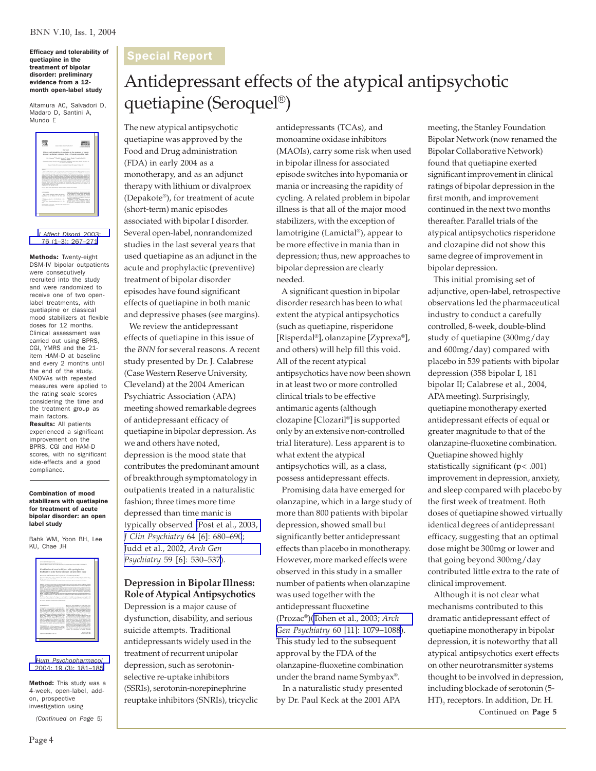Efficacy and tolerability of quetiapine in the treatment of bipolar disorder: preliminary evidence from a 12 month open-label study

Altamura AC, Salvadori D, Madaro D, Santini A, Mundo E

| hand of others fromm to install the                                                                                                                                                                                                                                                                                                                                                                                                                                                                                                                                                                                                                                                                                                                                                                                                                                                                                                                                                                                                                                                                                                                                                                        | <b>TELEPHONES</b>                                                                              |
|------------------------------------------------------------------------------------------------------------------------------------------------------------------------------------------------------------------------------------------------------------------------------------------------------------------------------------------------------------------------------------------------------------------------------------------------------------------------------------------------------------------------------------------------------------------------------------------------------------------------------------------------------------------------------------------------------------------------------------------------------------------------------------------------------------------------------------------------------------------------------------------------------------------------------------------------------------------------------------------------------------------------------------------------------------------------------------------------------------------------------------------------------------------------------------------------------------|------------------------------------------------------------------------------------------------|
| <b>Brief</b> mount                                                                                                                                                                                                                                                                                                                                                                                                                                                                                                                                                                                                                                                                                                                                                                                                                                                                                                                                                                                                                                                                                                                                                                                         |                                                                                                |
| Efficacy and telestrifity of quetianing in the treatment of bireday<br>disorder reclinings; cyldence from a 12-month promished study                                                                                                                                                                                                                                                                                                                                                                                                                                                                                                                                                                                                                                                                                                                                                                                                                                                                                                                                                                                                                                                                       |                                                                                                |
| <b>Expands Woods</b>                                                                                                                                                                                                                                                                                                                                                                                                                                                                                                                                                                                                                                                                                                                                                                                                                                                                                                                                                                                                                                                                                                                                                                                       | 11" Warrent " Family Schooler" Roots Market" Souths Sector"                                    |
| of a class in depth with the                                                                                                                                                                                                                                                                                                                                                                                                                                                                                                                                                                                                                                                                                                                                                                                                                                                                                                                                                                                                                                                                                                                                                                               | NAMES AT NAME TO PERSONAL PROPERTY AND RESIDENCE OF TAXABLE PARTIES.                           |
|                                                                                                                                                                                                                                                                                                                                                                                                                                                                                                                                                                                                                                                                                                                                                                                                                                                                                                                                                                                                                                                                                                                                                                                                            | home bittery bit would point by I have fell appointing to bit                                  |
| <b>Global</b>                                                                                                                                                                                                                                                                                                                                                                                                                                                                                                                                                                                                                                                                                                                                                                                                                                                                                                                                                                                                                                                                                                                                                                                              |                                                                                                |
| address to construction to their displace to be welched to provide the standard state<br>and we is comen its chose of fields time of policity and and collected and addition is in policiens of<br>summer at \$25 desired. There are \$300.00 for extension and communicate constant and the state and was<br>milental points and countries are the experience of contacts of the countries and color and color develops and<br>works, Clinical accompanies carried on programma, in the material primary director and the approval. I<br>such und to put if to put. Offering off notable books to to worked a fur side with printerios for<br>line and the transport struct as limits thereon, the best of constructed as produced as the distribution of the MPD. This<br>ad 5040 was will as pollup caughts ad a pat column francise. The public capital<br>policies sink in and work on boothead an in couldn't drive Carlyton if they such all in<br>splend on buy study and is consider make, from yout in whose implication for the core of gastaging or an<br>demand a policienne protect by \$0.<br>4. 200 Glaria RX, 18 Auto started.<br>Event Sole Each Secretary Motors wave Calvas Socializer | Astronal To Scotca in News of automobile between a thirdly dusted (\$2) is belief a use topics |

*[J Affect Disord](http://www.ncbi.nlm.nih.gov/entrez/query.fcgi?cmd=Retrieve&db=pubmed&dopt=Abstract&list_uids=12943958)* 2003; [76 \(1–3\): 267–271](http://www.ncbi.nlm.nih.gov/entrez/query.fcgi?cmd=Retrieve&db=pubmed&dopt=Abstract&list_uids=12943958)

Methods: Twenty-eight DSM-IV bipolar outpatients were consecutively recruited into the study and were randomized to receive one of two openlabel treatments, with quetiapine or classical mood stabilizers at flexible doses for 12 months. Clinical assessment was carried out using BPRS, CGI, YMRS and the 21 item HAM-D at baseline and every 2 months until the end of the study. ANOVAs with repeated measures were applied to the rating scale scores considering the time and the treatment group as main factors. Results: All patients experienced a significant improvement on the BPRS, CGI and HAM-D scores, with no significant side-effects and a good compliance.

#### Combination of mood stabilizers with quetiapine for treatment of acute bipolar disorder: an open label study

Bahk WM, Yoon BH, Lee KU, Chae JH

| the Portabetanchile par 204, 91 to Un-<br>Published with 10 Month 2014 A Tribe background corp. Meadows Alliances, \$98. For \$990 and \$15                                                                                                                                                                                                                                                                                                                                                                                                                                                                                                                                                                                                                                                                                                               |                                                                                                                                                                                                                                                                                                                                                                                                                                                                                                                                                                                                                                                                                                                                                                                                                                                                                                                                                                                                                           |
|-----------------------------------------------------------------------------------------------------------------------------------------------------------------------------------------------------------------------------------------------------------------------------------------------------------------------------------------------------------------------------------------------------------------------------------------------------------------------------------------------------------------------------------------------------------------------------------------------------------------------------------------------------------------------------------------------------------------------------------------------------------------------------------------------------------------------------------------------------------|---------------------------------------------------------------------------------------------------------------------------------------------------------------------------------------------------------------------------------------------------------------------------------------------------------------------------------------------------------------------------------------------------------------------------------------------------------------------------------------------------------------------------------------------------------------------------------------------------------------------------------------------------------------------------------------------------------------------------------------------------------------------------------------------------------------------------------------------------------------------------------------------------------------------------------------------------------------------------------------------------------------------------|
| Combination of mood stabilizers with exclusive for<br>treatment of acute binolar disorder: an open label study                                                                                                                                                                                                                                                                                                                                                                                                                                                                                                                                                                                                                                                                                                                                            |                                                                                                                                                                                                                                                                                                                                                                                                                                                                                                                                                                                                                                                                                                                                                                                                                                                                                                                                                                                                                           |
| Non-Moree Hubby, Bu From Town, Kingma Hik Lan <sup>24</sup> and June His Char."                                                                                                                                                                                                                                                                                                                                                                                                                                                                                                                                                                                                                                                                                                                                                                           |                                                                                                                                                                                                                                                                                                                                                                                                                                                                                                                                                                                                                                                                                                                                                                                                                                                                                                                                                                                                                           |
| They may of hudson Color at Muline. The Cabile Presence of Area, It Mary's Museum of this they<br><b>Salesman In And PR 11 Aire</b><br>Textures of the auto that the finite of Bureau Area August to any time to the August                                                                                                                                                                                                                                                                                                                                                                                                                                                                                                                                                                                                                               |                                                                                                                                                                                                                                                                                                                                                                                                                                                                                                                                                                                                                                                                                                                                                                                                                                                                                                                                                                                                                           |
| Olastin Terrand expediate as high control instrument and rateds, solder as made<br>at all all in furniture in the training of a lot much.<br>Module 1994 milk track made approach, old as imported to relation the authors in addition to account<br>stands fifth Artists address through the company of the company of the set of the address<br>and contact the role \$300 year ended allowing who wills 1.1 and 8 Year field debt percent and<br>(FM) was arrivabled a bandage and route in<br>all six<br>Contractors . The conduction of contractors are program as a firm of a contract of construction in program and<br>area want Stadestoriyle she consider proportion make on anoted Capacity C. 200 hote Wiles & Los. Ltd.<br>art with a published blocks shared distances and                                                                  | is major this mind minimize extent depends areas to. The risk tending to the data channel got sink<br>Main Pay is Wildlife MMacOWY Associate class formation Audio non-author Pa Tipia copy<br>Books, The different position resident a policieally dealer processes and 1994 (1995) 1993 and 19<br>and it and it has been as a little degrees are adjustered with products department of ad-                                                                                                                                                                                                                                                                                                                                                                                                                                                                                                                                                                                                                             |
| <b>INTERNATION</b><br>Animalytics or consult and is histin due.<br>at hit to cut pain oil is painted the<br>ment forced some mades confuse for a long-<br>managing at colors with fundat during an invest-<br>and satisfactory deline for some mone shows<br>and more than bull are contented on antiquotherize.<br>new this I mode she dishere relates and<br>Mark 1985 Second at al. 1986 Book or of<br>19th Justy and Kings, 2003. The mount for his<br>high-rate of antique-both and beneficials with high-lat-<br>division is that although prigram but anywhere a model stabili-<br>are waits in a mail valid and of scores and a<br>better control of policities and conclusion behaviour.<br>s e se<br>Thomas in a B E I by Basinet & Bulletin<br>Fillen (Offices), No Gran Kansler of New Of York.<br>Fra Fewronton, Equity 11, Alta St. 40.0 FM | Printed, 1970 Saddefield, 1980 King 1988.<br>state ad the fifty he was advertising<br>an also conkel because aluministics and allow-<br>ash a lebel-to of Antiquity systems Ratural<br>and 1984 Motion TATS endiameter (Months)<br>eral, 1981; solice Address these and Social<br>FIRE Mathemat of U. 1980 and approximate<br>national costs on Manack and, 1992-<br>The containing of the strategies dependently has<br>but a two-year as to private with biratic disorder<br>show it has foremorte with other moders, antiquals<br>and antalyzingly officer. The first exhibited of the<br>allows of strated antique-bottles in the personal<br>of timbe retires studied from the experience with<br>departed if stategies as all 1990s Beneathy shares.<br>the traching bend information for the day after<br>by the U.S. Fourth and Strait Anderson completes that Sunday<br>al provident durcher consided and a disk point.<br>19th Step 2 at 20th Scala south sculpd.<br>subject that standarded but most stationed |
|                                                                                                                                                                                                                                                                                                                                                                                                                                                                                                                                                                                                                                                                                                                                                                                                                                                           | <b>Brand College Print</b><br>Arrest Clifford State                                                                                                                                                                                                                                                                                                                                                                                                                                                                                                                                                                                                                                                                                                                                                                                                                                                                                                                                                                       |

*[Hum Psychopharmacol](http://www.ncbi.nlm.nih.gov/entrez/query.fcgi?cmd=Retrieve&db=pubmed&dopt=Abstract&list_uids=15079852)* [2004; 19 \(3\): 181–185](http://www.ncbi.nlm.nih.gov/entrez/query.fcgi?cmd=Retrieve&db=pubmed&dopt=Abstract&list_uids=15079852)

Method: This study was a 4-week, open-label, addon, prospective investigation using

*(Continued on Page 5)*

# Antidepressant effects of the atypical antipsychotic quetiapine (Seroquel®)

The new atypical antipsychotic quetiapine was approved by the Food and Drug administration (FDA) in early 2004 as a monotherapy, and as an adjunct therapy with lithium or divalproex (Depakote®), for treatment of acute (short-term) manic episodes associated with bipolar I disorder. Several open-label, nonrandomized studies in the last several years that used quetiapine as an adjunct in the acute and prophylactic (preventive) treatment of bipolar disorder episodes have found significant effects of quetiapine in both manic and depressive phases (see margins).

 We review the antidepressant effects of quetiapine in this issue of the *BNN* for several reasons. A recent study presented by Dr. J. Calabrese (Case Western Reserve University, Cleveland) at the 2004 American Psychiatric Association (APA) meeting showed remarkable degrees of antidepressant efficacy of quetiapine in bipolar depression. As we and others have noted, depression is the mood state that contributes the predominant amount of breakthrough symptomatology in outpatients treated in a naturalistic fashion; three times more time depressed than time manic is typically observed [\(Post et al., 2003,](http://www.ncbi.nlm.nih.gov/entrez/query.fcgi?cmd=Retrieve&db=pubmed&dopt=Abstract&list_uids=12823083) *[J Clin Psychiatry](http://www.ncbi.nlm.nih.gov/entrez/query.fcgi?cmd=Retrieve&db=pubmed&dopt=Abstract&list_uids=12823083)* 64 [6]: 680–690; [Judd et al., 2002,](http://www.ncbi.nlm.nih.gov/entrez/query.fcgi?cmd=Retrieve&db=pubmed&dopt=Abstract&list_uids=12044195) *Arch Gen Psychiatry* [59 \[6\]: 530–537](http://www.ncbi.nlm.nih.gov/entrez/query.fcgi?cmd=Retrieve&db=pubmed&dopt=Abstract&list_uids=12044195)).

#### **Depression in Bipolar Illness: Role of Atypical Antipsychotics**

Depression is a major cause of dysfunction, disability, and serious suicide attempts. Traditional antidepressants widely used in the treatment of recurrent unipolar depression, such as serotoninselective re-uptake inhibitors (SSRIs), serotonin-norepinephrine reuptake inhibitors (SNRIs), tricyclic antidepressants (TCAs), and monoamine oxidase inhibitors (MAOIs), carry some risk when used in bipolar illness for associated episode switches into hypomania or mania or increasing the rapidity of cycling. A related problem in bipolar illness is that all of the major mood stabilizers, with the exception of lamotrigine (Lamictal®), appear to be more effective in mania than in depression; thus, new approaches to bipolar depression are clearly needed.

 A significant question in bipolar disorder research has been to what extent the atypical antipsychotics (such as quetiapine, risperidone [Risperdal®], olanzapine [Zyprexa®], and others) will help fill this void. All of the recent atypical antipsychotics have now been shown in at least two or more controlled clinical trials to be effective antimanic agents (although clozapine [Clozaril®]is supported only by an extensive non-controlled trial literature). Less apparent is to what extent the atypical antipsychotics will, as a class, possess antidepressant effects.

 Promising data have emerged for olanzapine, which in a large study of more than 800 patients with bipolar depression, showed small but significantly better antidepressant effects than placebo in monotherapy. However, more marked effects were observed in this study in a smaller number of patients when olanzapine was used together with the antidepressant fluoxetine (Prozac®)([Tohen et al., 2003;](http://www.ncbi.nlm.nih.gov/entrez/query.fcgi?cmd=Retrieve&db=pubmed&dopt=Abstract&list_uids=14609883) *Arch [Gen Psychiatry](http://www.ncbi.nlm.nih.gov/entrez/query.fcgi?cmd=Retrieve&db=pubmed&dopt=Abstract&list_uids=14609883)* 60 [11]: 1079**–**1088). This study led to the subsequent approval by the FDA of the olanzapine-fluoxetine combination under the brand name Symbyax®.

 In a naturalistic study presented by Dr. Paul Keck at the 2001 APA

meeting, the Stanley Foundation Bipolar Network (now renamed the Bipolar Collaborative Network) found that quetiapine exerted significant improvement in clinical ratings of bipolar depression in the first month, and improvement continued in the next two months thereafter. Parallel trials of the atypical antipsychotics risperidone and clozapine did not show this same degree of improvement in bipolar depression.

 This initial promising set of adjunctive, open-label, retrospective observations led the pharmaceutical industry to conduct a carefully controlled, 8-week, double-blind study of quetiapine (300mg/day and 600mg/day) compared with placebo in 539 patients with bipolar depression (358 bipolar I, 181 bipolar II; Calabrese et al., 2004, APA meeting). Surprisingly, quetiapine monotherapy exerted antidepressant effects of equal or greater magnitude to that of the olanzapine-fluoxetine combination. Quetiapine showed highly statistically significant (p< .001) improvement in depression, anxiety, and sleep compared with placebo by the first week of treatment. Both doses of quetiapine showed virtually identical degrees of antidepressant efficacy, suggesting that an optimal dose might be 300mg or lower and that going beyond 300mg/day contributed little extra to the rate of clinical improvement.

Continued on **Page 5** Although it is not clear what mechanisms contributed to this dramatic antidepressant effect of quetiapine monotherapy in bipolar depression, it is noteworthy that all atypical antipsychotics exert effects on other neurotransmitter systems thought to be involved in depression, including blockade of serotonin (5-  $\mathrm{HT}_2$  receptors. In addition, Dr. H.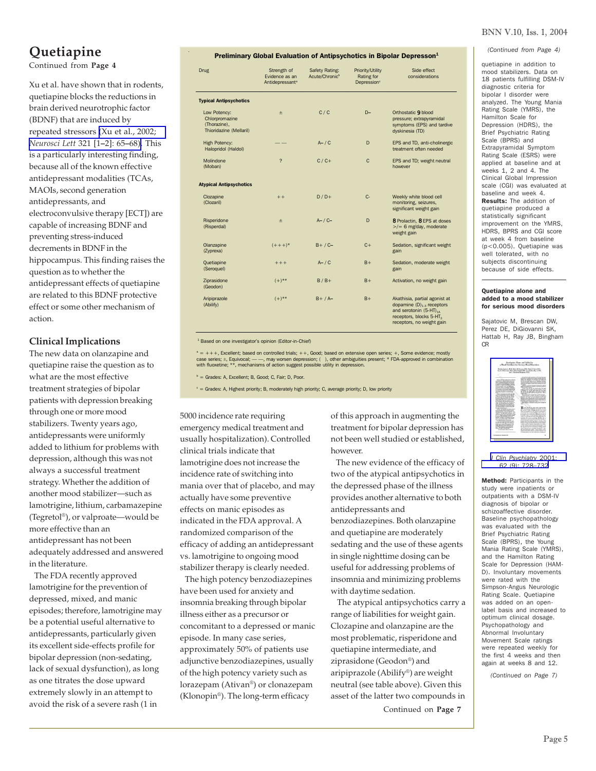## **Quetiapine**

Continued from **Page 4**

Xu et al. have shown that in rodents, quetiapine blocks the reductions in brain derived neurotrophic factor (BDNF) that are induced by repeated stressors [\(Xu et al., 2002;](http://www.ncbi.nlm.nih.gov/entrez/query.fcgi?cmd=Retrieve&db=pubmed&dopt=Abstract&list_uids=11872258) *[Neurosci Lett](http://www.ncbi.nlm.nih.gov/entrez/query.fcgi?cmd=Retrieve&db=pubmed&dopt=Abstract&list_uids=11872258)* 321 [1**–**2]: 65**–**68). This is a particularly interesting finding, because all of the known effective antidepressant modalities (TCAs, MAOIs, second generation antidepressants, and electroconvulsive therapy [ECT]) are capable of increasing BDNF and preventing stress-induced decrements in BDNF in the hippocampus. This finding raises the question as to whether the antidepressant effects of quetiapine are related to this BDNF protective effect or some other mechanism of action.

#### **Clinical Implications**

The new data on olanzapine and quetiapine raise the question as to what are the most effective treatment strategies of bipolar patients with depression breaking through one or more mood stabilizers. Twenty years ago, antidepressants were uniformly added to lithium for problems with depression, although this was not always a successful treatment strategy. Whether the addition of another mood stabilizer—such as lamotrigine, lithium, carbamazepine (Tegretol®), or valproate—would be more effective than an antidepressant has not been adequately addressed and answered in the literature.

 The FDA recently approved lamotrigine for the prevention of depressed, mixed, and manic episodes; therefore, lamotrigine may be a potential useful alternative to antidepressants, particularly given its excellent side-effects profile for bipolar depression (non-sedating, lack of sexual dysfunction), as long as one titrates the dose upward extremely slowly in an attempt to avoid the risk of a severe rash (1 in

#### Preliminary Global Evaluation of Antipsychotics in Bipolar Depresson<sup>1</sup>

| Drug                                                                      | Strength of<br>Evidence as an<br>Antidepressant <sup>a</sup> | Safety Rating:<br>Acute/Chronic <sup>b</sup> | Priority/Utility<br>Rating for<br>Depression <sup>c</sup> | Side effect<br>considerations                                                                                                                                             |
|---------------------------------------------------------------------------|--------------------------------------------------------------|----------------------------------------------|-----------------------------------------------------------|---------------------------------------------------------------------------------------------------------------------------------------------------------------------------|
| <b>Typical Antipsychotics</b>                                             |                                                              |                                              |                                                           |                                                                                                                                                                           |
| Low Potency:<br>Chlorpromazine<br>(Thorazine).<br>Thioridazine (Mellaril) | $\pm$                                                        | C/C                                          | $D -$                                                     | Orthostatic 9 blood<br>pressure; extrapyramidal<br>symptoms (EPS) and tardive<br>dyskinesia (TD)                                                                          |
| <b>High Potency:</b><br>Halopridol (Haldol)                               |                                                              | $A - / C$                                    | D                                                         | EPS and TD, anti-cholinergic<br>treatment often needed                                                                                                                    |
| Molindone<br>(Moban)                                                      | $\overline{\phantom{0}}$                                     | $C/C+$                                       | $\mathbf{C}$                                              | EPS and TD; weight neutral<br>however                                                                                                                                     |
| <b>Atypical Antipsychotics</b>                                            |                                                              |                                              |                                                           |                                                                                                                                                                           |
| Clozapine<br>(Clozaril)                                                   | $++$                                                         | $D/D+$                                       | $C -$                                                     | Weekly white blood cell<br>monitoring, seizures,<br>significant weight gain                                                                                               |
| Risperidone<br>(Risperdal)                                                | $\pm$                                                        | $A- / C-$                                    | D                                                         | 8 Prolactin, 8 EPS at doses<br>$>$ /= 6 mg/day, moderate<br>weight gain                                                                                                   |
| Olanzapine<br>(Zyprexa)                                                   | $(+ + +)^*$                                                  | $B+ / C-$                                    | $C +$                                                     | Sedation, significant weight<br>gain                                                                                                                                      |
| Quetiapine<br>(Seroquel)                                                  | $+++$                                                        | $A - / C$                                    | $B+$                                                      | Sedation, moderate weight<br>gain                                                                                                                                         |
| Ziprasidone<br>(Geodon)                                                   | $(+)^{**}$                                                   | $B/B+$                                       | $B+$                                                      | Activation, no weight gain                                                                                                                                                |
| Aripiprazole<br>(Abilify)                                                 | $(+)^{**}$                                                   | $B+ / A-$                                    | $B+$                                                      | Akathisia, partial agonist at<br>dopamine $(D)_{1,3}$ receptors<br>and serotonin (5-HT) <sub>1A</sub><br>receptors, blocks 5-HT <sub>2</sub><br>receptors, no weight gain |

#### <sup>1</sup> Based on one investigator's opinion (Editor-in-Chief)

<sup>a</sup> = +++, Excellent; based on controlled trials; ++, Good; based on extensive open series; +, Some evidence; mostly case series; ±, Equivocal; — —, may worsen depression; ( ), other ambiguities present; \* FDA-approved in combination<br>with fluoxetine; \*\*, mechanisms of action suggest possible utility in depression.

 $b =$  Grades: A, Excellent; B, Good; C, Fair; D, Poor.

<sup>c</sup> = Grades: A, Highest priority; B, moderately high priority; C, average priority; D, low priority

5000 incidence rate requiring emergency medical treatment and usually hospitalization). Controlled clinical trials indicate that lamotrigine does not increase the incidence rate of switching into mania over that of placebo, and may actually have some preventive effects on manic episodes as indicated in the FDA approval. A randomized comparison of the efficacy of adding an antidepressant vs. lamotrigine to ongoing mood stabilizer therapy is clearly needed.

 The high potency benzodiazepines have been used for anxiety and insomnia breaking through bipolar illness either as a precursor or concomitant to a depressed or manic episode. In many case series, approximately 50% of patients use adjunctive benzodiazepines, usually of the high potency variety such as lorazepam (Ativan®) or clonazepam (Klonopin®). The long-term efficacy

of this approach in augmenting the treatment for bipolar depression has not been well studied or established, however.

 The new evidence of the efficacy of two of the atypical antipsychotics in the depressed phase of the illness provides another alternative to both antidepressants and benzodiazepines. Both olanzapine and quetiapine are moderately sedating and the use of these agents in single nighttime dosing can be useful for addressing problems of insomnia and minimizing problems with daytime sedation. The atypical antipsychotics carry a

range of liabilities for weight gain. Clozapine and olanzapine are the most problematic, risperidone and quetiapine intermediate, and ziprasidone (Geodon®) and aripiprazole (Abilify®) are weight neutral (see table above). Given this asset of the latter two compounds in

Continued on **Page 7**

#### BNN V.10, Iss. 1, 2004

*(Continued from Page 4)*

quetiapine in addition to mood stabilizers. Data on 18 patients fulfilling DSM-IV diagnostic criteria for bipolar I disorder were analyzed. The Young Mania Rating Scale (YMRS), the Hamilton Scale for Depression (HDRS), the Brief Psychiatric Rating Scale (BPRS) and Extrapyramidal Symptom Rating Scale (ESRS) were applied at baseline and at weeks 1, 2 and 4. The Clinical Global Impression scale (CGI) was evaluated at baseline and week 4. Results: The addition of quetiapine produced a statistically significant improvement on the YMRS, HDRS, BPRS and CGI score at week 4 from baseline (p<0.005). Quetiapine was well tolerated, with no subjects discontinuing because of side effects.

#### Quetiapine alone and added to a mood stabilizer for serious mood disorders

Sajatovic M, Brescan DW, Perez DE, DiGiovanni SK, Hattab H, Ray JB, Bingham CR

|                                                                                                                                                                                                                                                                                                                                                                                                                                                                                                                                                                                                                                                                                                                                                                                                                                                                                                                                                                                                                                                                                                                                                                                                                                                                                                                                                                                                                                                                                                                                                                                                                                                                                                                                                                                                                                                                                                                                                         | Quetiazine Alone and Added to<br>a Mood Stubilizer for Serious Mead Disorders                                                                                                                                                                                                                                                                                                                                                                                                                                                                                                                                                                                                                                                                                                                                                                                                                                                                                                                                                                                                                                                                                                                                                                                                                                                                                                                                                                                                                                                                                                                                                                                                                                                                                                                                                                                                                                                                                                                                                                                                                                                                                                                                                                                                                                                                                              |
|---------------------------------------------------------------------------------------------------------------------------------------------------------------------------------------------------------------------------------------------------------------------------------------------------------------------------------------------------------------------------------------------------------------------------------------------------------------------------------------------------------------------------------------------------------------------------------------------------------------------------------------------------------------------------------------------------------------------------------------------------------------------------------------------------------------------------------------------------------------------------------------------------------------------------------------------------------------------------------------------------------------------------------------------------------------------------------------------------------------------------------------------------------------------------------------------------------------------------------------------------------------------------------------------------------------------------------------------------------------------------------------------------------------------------------------------------------------------------------------------------------------------------------------------------------------------------------------------------------------------------------------------------------------------------------------------------------------------------------------------------------------------------------------------------------------------------------------------------------------------------------------------------------------------------------------------------------|----------------------------------------------------------------------------------------------------------------------------------------------------------------------------------------------------------------------------------------------------------------------------------------------------------------------------------------------------------------------------------------------------------------------------------------------------------------------------------------------------------------------------------------------------------------------------------------------------------------------------------------------------------------------------------------------------------------------------------------------------------------------------------------------------------------------------------------------------------------------------------------------------------------------------------------------------------------------------------------------------------------------------------------------------------------------------------------------------------------------------------------------------------------------------------------------------------------------------------------------------------------------------------------------------------------------------------------------------------------------------------------------------------------------------------------------------------------------------------------------------------------------------------------------------------------------------------------------------------------------------------------------------------------------------------------------------------------------------------------------------------------------------------------------------------------------------------------------------------------------------------------------------------------------------------------------------------------------------------------------------------------------------------------------------------------------------------------------------------------------------------------------------------------------------------------------------------------------------------------------------------------------------------------------------------------------------------------------------------------------------|
|                                                                                                                                                                                                                                                                                                                                                                                                                                                                                                                                                                                                                                                                                                                                                                                                                                                                                                                                                                                                                                                                                                                                                                                                                                                                                                                                                                                                                                                                                                                                                                                                                                                                                                                                                                                                                                                                                                                                                         |                                                                                                                                                                                                                                                                                                                                                                                                                                                                                                                                                                                                                                                                                                                                                                                                                                                                                                                                                                                                                                                                                                                                                                                                                                                                                                                                                                                                                                                                                                                                                                                                                                                                                                                                                                                                                                                                                                                                                                                                                                                                                                                                                                                                                                                                                                                                                                            |
|                                                                                                                                                                                                                                                                                                                                                                                                                                                                                                                                                                                                                                                                                                                                                                                                                                                                                                                                                                                                                                                                                                                                                                                                                                                                                                                                                                                                                                                                                                                                                                                                                                                                                                                                                                                                                                                                                                                                                         | Nastin Suicherie, M.D.; Debra W. Europe, M.D.; Della R. Paren, M.D.;<br>See K. Differenced M.G .; Helen Huttab, M.D .; June Rebots Ray J. S.W .;<br>and C. Research Einsbaro, Ph.D.                                                                                                                                                                                                                                                                                                                                                                                                                                                                                                                                                                                                                                                                                                                                                                                                                                                                                                                                                                                                                                                                                                                                                                                                                                                                                                                                                                                                                                                                                                                                                                                                                                                                                                                                                                                                                                                                                                                                                                                                                                                                                                                                                                                        |
| Anderson The Antiquiate and also<br>promotionally as well by the time was for any<br>special builder collect and trade faced at<br>also exclusive and detailed advertised<br><b>Links Local contribution</b> Service<br>beautiful a shot is sold advised a sit-<br>which are thousand built in an Window when<br>Sundays Service couldn't fided an-<br>publicador is apparent primais airfultato.<br>En Australian in Norweger Statistics rate<br>Scratad Mondholm Gordo My 440<br>advertised company's broad entriests.<br>≂<br><b>With an Institute in the way can list</b><br>Link or relations with a link of Augusts<br>Chair Colorado de Andre<br>produced dogs was analyzed with the bird<br>an autor kally has come as from<br>hiera help has 1 kill), achievianina<br>Edith Labin Company (Statut) Scolar-<br>by a company and wide with the forcests.<br>tions has been been help that stream are<br>silving a control was advanced as<br>where first time. Including an<br>Checker by dealers. This based that a street<br>ters must such in this trade all<br>because allowing and it<br>Assole, The policies and heads should be<br>and the subscription is desired assessed<br>deficie form (1944) show instruc-<br>Eds Gold and Supermount in 1974 to 1, 1974.<br>TROUGH AVE ACTUATE AND ST. ROLL<br>Statut Aves Limited Architects business<br>a 1.0 - 10mb antique ha will have a<br><b>Repairing the distribution and continued and</b><br>Attacks The work is \$0 minimizes from pro-<br>MA . Ed Louise Lane, In Albertain<br><b>Sing work will see brink to the</b><br>Couldress, Allympt backets through<br>ate, special deep, and distributed as<br>promptly the state procedure of statement<br>from an involving interesting class<br>stiming with extreme and detection with any<br>advanced company's in and exciting<br>diese Them pollutionals fracture should be<br>called a way automation.<br>A TA France 1981 of the NY | UNDER A 20 year \$1.1 PT Do B Toyle<br>finders for More house twenty cleaned the fire<br>Search, New age Bendi 20, Resident of New York.<br>the first publication and the an increase of finitesia<br>Never product Armed 23 or division in and<br>they than beneficially the more line. Being the<br>homester in dealers with forecasterial from the big<br>G. Earles<br>Fast Air to super them beed as a Manageart at Address<br>and an excellent in Houset 5, and Sultivan Minimum<br><b>External State Co. Science</b><br>Colora of this day but the streams at the child<br>ing al ft. Namus Portland, Aufnahm Hoffing or up used<br>a Rabana St., & 28, and more o're for their<br>Hy Follows Co. Action and more of it for their<br>The said the state and of the same code of<br><b>Carlo Boke</b><br>In American process of functions is great agree to<br>Forest Artists III Aprile by Ally 4.4 House Art<br><b><i><u>RATING of Andrew In Hill Andrew Awards</u></i></b><br>brokers of least to broad booms for 12 in<br><b>SPATINI L. Adulti, Jackmonthera, Jacka, crice in August</b><br>brathand truck the producer during an intention. In<br><b>ENGINEERING ALANG CATALOG</b><br><b>STATE IN WANTED TO THE TABLE</b><br>Sprit Algebra Aires Andra Art, Denna Austal<br>make Many choice, throwing materials<br>$-$<br>today delight in a more subject booth endings.<br>will monitored behinds and moniality "in \$200.<br>By acquisit factor of higher deader in the Union.<br>how we released a le BTTA for a departed at<br>by students in red contingent stop," while an-<br>processed 11th of relationship with leader downloads for<br><b>Broad Thirty and packful yet models</b><br>who as not people percentage of the formula for the<br>proprie for your is worker should not an<br>additionly many individuals with highly discolar as-<br>actions assistant constraint and acts columns." These<br>salary ofte hot story and particle in Sectionist and<br>beauty characteristics advertise access<br>consists marked in majority with analysis must making.<br>as the shades during the second complete that a second<br>the long was made after he assumed to tracking parlament<br>along appearance have preceded advantagedly to star-<br>but confidentially work. <sup>12</sup> Floor industry as the<br>produced a department of the con- |
|                                                                                                                                                                                                                                                                                                                                                                                                                                                                                                                                                                                                                                                                                                                                                                                                                                                                                                                                                                                                                                                                                                                                                                                                                                                                                                                                                                                                                                                                                                                                                                                                                                                                                                                                                                                                                                                                                                                                                         | contains Minerally she published includes with                                                                                                                                                                                                                                                                                                                                                                                                                                                                                                                                                                                                                                                                                                                                                                                                                                                                                                                                                                                                                                                                                                                                                                                                                                                                                                                                                                                                                                                                                                                                                                                                                                                                                                                                                                                                                                                                                                                                                                                                                                                                                                                                                                                                                                                                                                                             |

*[J Clin Psychiatry](http://www.ncbi.nlm.nih.gov/entrez/query.fcgi?cmd=Retrieve&db=pubmed&dopt=Abstract&list_uids=11681770)* 2001; [62 \(9\): 728–732](http://www.ncbi.nlm.nih.gov/entrez/query.fcgi?cmd=Retrieve&db=pubmed&dopt=Abstract&list_uids=11681770)

Method: Participants in the study were inpatients or outpatients with a DSM-IV diagnosis of bipolar or schizoaffective disorder. Baseline psychopathology was evaluated with the Brief Psychiatric Rating Scale (BPRS), the Young Mania Rating Scale (YMRS), and the Hamilton Rating Scale for Depression (HAM-D). Involuntary movements were rated with the Simpson-Angus Neurologic Rating Scale. Quetiapine was added on an openlabel basis and increased to optimum clinical dosage. Psychopathology and Abnormal Involuntary Movement Scale ratings were repeated weekly for the first 4 weeks and then again at weeks 8 and 12.

*(Continued on Page 7)*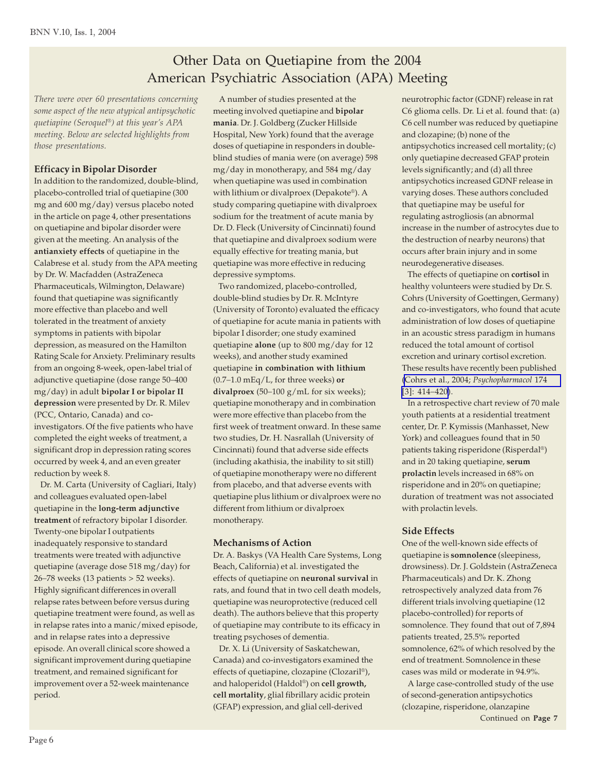# Other Data on Quetiapine from the 2004 American Psychiatric Association (APA) Meeting

*There were over 60 presentations concerning some aspect of the new atypical antipsychotic quetiapine (Seroquel®) at this year's APA meeting. Below are selected highlights from those presentations.*

#### **Efficacy in Bipolar Disorder**

In addition to the randomized, double-blind, placebo-controlled trial of quetiapine (300 mg and 600 mg/day) versus placebo noted in the article on page 4, other presentations on quetiapine and bipolar disorder were given at the meeting. An analysis of the **antianxiety effects** of quetiapine in the Calabrese et al. study from the APA meeting by Dr. W. Macfadden (AstraZeneca Pharmaceuticals, Wilmington, Delaware) found that quetiapine was significantly more effective than placebo and well tolerated in the treatment of anxiety symptoms in patients with bipolar depression, as measured on the Hamilton Rating Scale for Anxiety. Preliminary results from an ongoing 8-week, open-label trial of adjunctive quetiapine (dose range 50*–*400 mg/day) in adult **bipolar I or bipolar II depression** were presented by Dr. R. Milev (PCC, Ontario, Canada) and coinvestigators. Of the five patients who have completed the eight weeks of treatment, a significant drop in depression rating scores occurred by week 4, and an even greater reduction by week 8.

 Dr. M. Carta (University of Cagliari, Italy) and colleagues evaluated open-label quetiapine in the **long-term adjunctive treatment** of refractory bipolar I disorder. Twenty-one bipolar I outpatients inadequately responsive to standard treatments were treated with adjunctive quetiapine (average dose 518 mg/day) for 26*–*78 weeks (13 patients > 52 weeks). Highly significant differences in overall relapse rates between before versus during quetiapine treatment were found, as well as in relapse rates into a manic/mixed episode, and in relapse rates into a depressive episode. An overall clinical score showed a significant improvement during quetiapine treatment, and remained significant for improvement over a 52-week maintenance period.

 A number of studies presented at the meeting involved quetiapine and **bipolar mania**. Dr. J. Goldberg (Zucker Hillside Hospital, New York) found that the average doses of quetiapine in responders in doubleblind studies of mania were (on average) 598 mg/day in monotherapy, and 584 mg/day when quetiapine was used in combination with lithium or divalproex (Depakote®). A study comparing quetiapine with divalproex sodium for the treatment of acute mania by Dr. D. Fleck (University of Cincinnati) found that quetiapine and divalproex sodium were equally effective for treating mania, but quetiapine was more effective in reducing depressive symptoms.

 Two randomized, placebo-controlled, double-blind studies by Dr. R. McIntyre (University of Toronto) evaluated the efficacy of quetiapine for acute mania in patients with bipolar I disorder; one study examined quetiapine **alone** (up to 800 mg/day for 12 weeks), and another study examined quetiapine **in combination with lithium** (0.7*–*1.0 mEq/L, for three weeks) **or divalproex** (50*–*100 g/mL for six weeks); quetiapine monotherapy and in combination were more effective than placebo from the first week of treatment onward. In these same two studies, Dr. H. Nasrallah (University of Cincinnati) found that adverse side effects (including akathisia, the inability to sit still) of quetiapine monotherapy were no different from placebo, and that adverse events with quetiapine plus lithium or divalproex were no different from lithium or divalproex monotherapy.

#### **Mechanisms of Action**

Dr. A. Baskys (VA Health Care Systems, Long Beach, California) et al. investigated the effects of quetiapine on **neuronal survival** in rats, and found that in two cell death models, quetiapine was neuroprotective (reduced cell death). The authors believe that this property of quetiapine may contribute to its efficacy in treating psychoses of dementia.

 Dr. X. Li (University of Saskatchewan, Canada) and co-investigators examined the effects of quetiapine, clozapine (Clozaril®), and haloperidol (Haldol®) on **cell growth, cell mortality**, glial fibrillary acidic protein (GFAP) expression, and glial cell-derived

neurotrophic factor (GDNF) release in rat C6 glioma cells. Dr. Li et al. found that: (a) C6 cell number was reduced by quetiapine and clozapine; (b) none of the antipsychotics increased cell mortality; (c) only quetiapine decreased GFAP protein levels significantly; and (d) all three antipsychotics increased GDNF release in varying doses. These authors concluded that quetiapine may be useful for regulating astrogliosis (an abnormal increase in the number of astrocytes due to the destruction of nearby neurons) that occurs after brain injury and in some neurodegenerative diseases.

 The effects of quetiapine on **cortisol** in healthy volunteers were studied by Dr. S. Cohrs (University of Goettingen, Germany) and co-investigators, who found that acute administration of low doses of quetiapine in an acoustic stress paradigm in humans reduced the total amount of cortisol excretion and urinary cortisol excretion. These results have recently been published ([Cohrs et al., 2004;](http://www.ncbi.nlm.nih.gov/entrez/query.fcgi?cmd=Retrieve&db=pubmed&dopt=Abstract&list_uids=14735295) *Psychopharmacol* 174 [\[3\]: 414](http://www.ncbi.nlm.nih.gov/entrez/query.fcgi?cmd=Retrieve&db=pubmed&dopt=Abstract&list_uids=14735295)*–*420).

 In a retrospective chart review of 70 male youth patients at a residential treatment center, Dr. P. Kymissis (Manhasset, New York) and colleagues found that in 50 patients taking risperidone (Risperdal®) and in 20 taking quetiapine, **serum prolactin** levels increased in 68% on risperidone and in 20% on quetiapine; duration of treatment was not associated with prolactin levels.

#### **Side Effects**

One of the well-known side effects of quetiapine is **somnolence** (sleepiness, drowsiness). Dr. J. Goldstein (AstraZeneca Pharmaceuticals) and Dr. K. Zhong retrospectively analyzed data from 76 different trials involving quetiapine (12 placebo-controlled) for reports of somnolence. They found that out of 7,894 patients treated, 25.5% reported somnolence, 62% of which resolved by the end of treatment. Somnolence in these cases was mild or moderate in 94.9%.

Continued on **Page 8** Continued on **Page 7** A large case-controlled study of the use of second-generation antipsychotics (clozapine, risperidone, olanzapine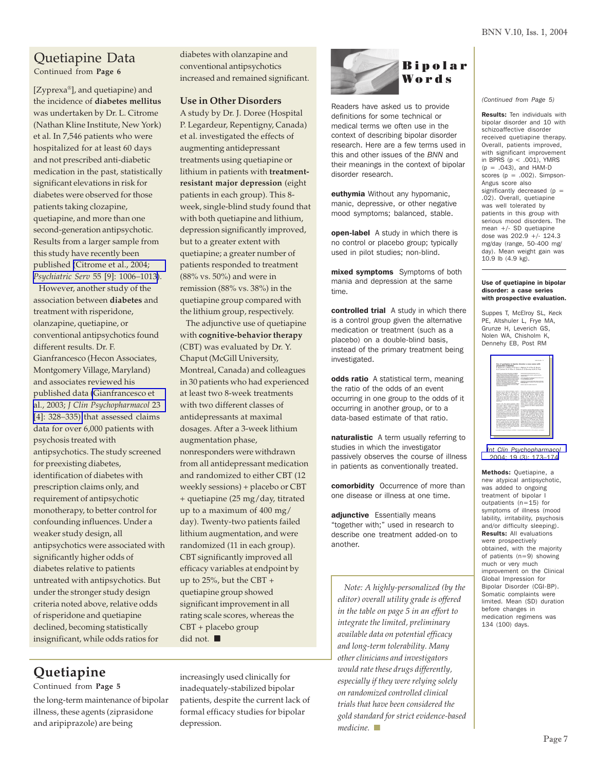## Quetiapine Data

Continued from **Page 6**

[Zyprexa®], and quetiapine) and the incidence of **diabetes mellitus** was undertaken by Dr. L. Citrome (Nathan Kline Institute, New York) et al. In 7,546 patients who were hospitalized for at least 60 days and not prescribed anti-diabetic medication in the past, statistically significant elevations in risk for diabetes were observed for those patients taking clozapine, quetiapine, and more than one second-generation antipsychotic. Results from a larger sample from this study have recently been published [\(Citrome et al., 2004;](http://www.ncbi.nlm.nih.gov/entrez/query.fcgi?cmd=Retrieve&db=pubmed&dopt=Abstract&list_uids=15345760) *[Psychiatric Serv](http://www.ncbi.nlm.nih.gov/entrez/query.fcgi?cmd=Retrieve&db=pubmed&dopt=Abstract&list_uids=15345760)* 55 [9]: 1006*–*1013).

 However, another study of the association between **diabetes** and treatment with risperidone, olanzapine, quetiapine, or conventional antipsychotics found different results. Dr. F. Gianfrancesco (Hecon Associates, Montgomery Village, Maryland) and associates reviewed his published data [\(Gianfrancesco et](http://www.ncbi.nlm.nih.gov/entrez/query.fcgi?cmd=Retrieve&db=pubmed&dopt=Abstract&list_uids=12920407) al., 2003; *[J Clin Psychopharmacol](http://www.ncbi.nlm.nih.gov/entrez/query.fcgi?cmd=Retrieve&db=pubmed&dopt=Abstract&list_uids=12920407)* 23 [\[4\]: 328](http://www.ncbi.nlm.nih.gov/entrez/query.fcgi?cmd=Retrieve&db=pubmed&dopt=Abstract&list_uids=12920407)*–*335) that assessed claims data for over 6,000 patients with psychosis treated with antipsychotics. The study screened for preexisting diabetes, identification of diabetes with prescription claims only, and requirement of antipsychotic monotherapy, to better control for confounding influences. Under a weaker study design, all antipsychotics were associated with significantly higher odds of diabetes relative to patients untreated with antipsychotics. But under the stronger study design criteria noted above, relative odds of risperidone and quetiapine declined, becoming statistically insignificant, while odds ratios for

diabetes with olanzapine and conventional antipsychotics increased and remained significant.

#### **Use in Other Disorders**

A study by Dr. J. Doree (Hospital P. Legardeur, Repentigny, Canada) et al. investigated the effects of augmenting antidepressant treatments using quetiapine or lithium in patients with **treatmentresistant major depression** (eight patients in each group). This 8 week, single-blind study found that with both quetiapine and lithium, depression significantly improved, but to a greater extent with quetiapine; a greater number of patients responded to treatment (88% vs. 50%) and were in remission (88% vs. 38%) in the quetiapine group compared with the lithium group, respectively.

 The adjunctive use of quetiapine with **cognitive-behavior therapy** (CBT) was evaluated by Dr. Y. Chaput (McGill University, Montreal, Canada) and colleagues in 30 patients who had experienced at least two 8-week treatments with two different classes of antidepressants at maximal dosages. After a 3-week lithium augmentation phase, nonresponders were withdrawn from all antidepressant medication and randomized to either CBT (12 weekly sessions) + placebo or CBT + quetiapine (25 mg/day, titrated up to a maximum of 400 mg/ day). Twenty-two patients failed lithium augmentation, and were randomized (11 in each group). CBT significantly improved all efficacy variables at endpoint by up to  $25\%$ , but the CBT + quetiapine group showed significant improvement in all rating scale scores, whereas the CBT + placebo group did not.

**Quetiapine**

Continued from **Page 5**

the long-term maintenance of bipolar illness, these agents (ziprasidone and aripiprazole) are being

increasingly used clinically for inadequately-stabilized bipolar patients, despite the current lack of formal efficacy studies for bipolar depression.



Readers have asked us to provide definitions for some technical or medical terms we often use in the context of describing bipolar disorder research. Here are a few terms used in this and other issues of the *BNN* and their meanings in the context of bipolar disorder research.

euthymia Without any hypomanic, manic, depressive, or other negative mood symptoms; balanced, stable.

**open-label** A study in which there is no control or placebo group; typically used in pilot studies; non-blind.

mixed symptoms Symptoms of both mania and depression at the same time.

controlled trial A study in which there is a control group given the alternative medication or treatment (such as a placebo) on a double-blind basis, instead of the primary treatment being investigated.

odds ratio A statistical term, meaning the ratio of the odds of an event occurring in one group to the odds of it occurring in another group, or to a data-based estimate of that ratio.

naturalistic A term usually referring to studies in which the investigator passively observes the course of illness in patients as conventionally treated.

comorbidity Occurrence of more than one disease or illness at one time.

adjunctive Essentially means "together with;" used in research to describe one treatment added-on to another.

 *Note: A highly-personalized (by the editor) overall utility grade is offered in the table on page 5 in an effort to integrate the limited, preliminary available data on potential efficacy and long-term tolerability. Many other clinicians and investigators would rate these drugs differently, especially if they were relying solely on randomized controlled clinical trials that have been considered the gold standard for strict evidence-based medicine*.

*(Continued from Page 5)*

Results: Ten individuals with bipolar disorder and 10 with schizoaffective disorder received quetiapine therapy. Overall, patients improved, with significant improvement in BPRS  $(p < .001)$ , YMRS  $(p = .043)$ , and HAM-D scores  $(p = .002)$ . Simpson-Angus score also significantly decreased ( $p =$ .02). Overall, quetiapine was well tolerated by patients in this group with serious mood disorders. The mean +/- SD quetiapine dose was 202.9 +/- 124.3 mg/day (range, 50-400 mg/ day). Mean weight gain was 10.9 lb (4.9 kg).

#### Use of quetiapine in bipolar disorder: a case series with prospective evaluation.

Suppes T, McElroy SL, Keck PE, Altshuler L, Frye MA, Grunze H, Leverich GS, Nolen WA, Chisholm K, Dennehy EB, Post RM

|                                                                                                                                                                                                                                                                                                                                                                                                                                                                                                                                                                                                                                                                                                                                                              | <b>Maria Bandiers</b> (St.)                                                                                                                                                                                                                                                                                                                                                                                                                                                                                                                                                                                                                                                                                                                          |  |  |
|--------------------------------------------------------------------------------------------------------------------------------------------------------------------------------------------------------------------------------------------------------------------------------------------------------------------------------------------------------------------------------------------------------------------------------------------------------------------------------------------------------------------------------------------------------------------------------------------------------------------------------------------------------------------------------------------------------------------------------------------------------------|------------------------------------------------------------------------------------------------------------------------------------------------------------------------------------------------------------------------------------------------------------------------------------------------------------------------------------------------------------------------------------------------------------------------------------------------------------------------------------------------------------------------------------------------------------------------------------------------------------------------------------------------------------------------------------------------------------------------------------------------------|--|--|
| Use of quetispine in bipolar disorder; a case series with<br>consumption evaluation<br>7. Rooms S. L. McDroy P. E. Kenk L. Alabaim M. A. Pan. H. Grocer.<br>B. S. Lewish, N. A. Rober, K. Chiatrolog, E. S. Dennely and R. St. Poul.                                                                                                                                                                                                                                                                                                                                                                                                                                                                                                                         |                                                                                                                                                                                                                                                                                                                                                                                                                                                                                                                                                                                                                                                                                                                                                      |  |  |
| Subscribe 1 for these interacted unit subscri-<br><b>EXCLUSIVE CONTRACTOR IN A STATE OF THE</b><br>A PARTICIPATE FOLLOWS CREW CLASSIFIED<br>al Mitch classed Museuman expanded.<br>all the will be streets of wheth the Rates to Just-<br>sings that money be its finish behind a sense<br>for frank these (215-57). Subdivisions of any<br>being them (60) shocks before changes a controller<br>processed in 1984 to the profile and<br>pulleted probates believial beta depth to<br>excellent builds themesters are all the first time<br><b>Carlo all Allinson at Allinson</b>                                                                                                                                                                           | <b>Dealers Scalin-Selected as \$15, \$10.00</b><br><b>Brook Suite Avenue and a capital distance.</b><br>CTV-HEARS TRINING SHOW the same<br><b><i>Product of the American States</i></b><br>The process of country speculate Appe of the copy.<br>Department of the control of the Control of the<br><b>Arrest and the article in the company's</b>                                                                                                                                                                                                                                                                                                                                                                                                   |  |  |
| The story are of the strategy substitution, which as<br>experience with no policy floor in different state, or<br>home made alone a de money of<br>hair day thought a c 2021 hour an-<br>moderns on an important postman states the<br>mines als an ages with warbots Factories at<br>a schoolcoal strend was will be infinite by<br>with our five also must not a chosen sell.<br>domestic charters have more associated could be<br><b>South Alexandra</b><br>Business with other manual potentialist white-<br>studies a street board and a stredie did of excitation<br>more shades which is support to an electronic                                                                                                                                    | flood sign amount and a constant months<br>produced with a new offenses as prove publica-<br>A True May May Ale, 1 Awdres 6th, but<br>A third time theme middle to had-<br>Books (2018); Louish e.g. fact, Tu-1708.<br>Bobyl Chevy 30 percent the production<br>attains of the card by the case. If he<br>Europeania kada daula salasi politik pe-<br>more which discussed 15 are pulseless which at a<br>propositions booted and a second exchange of<br>statut company, a resonance of 2 mode of gas tapice.<br>excess and an expresse schools show. The<br>painter work on Advertising the restal factor should<br>a ca subside we did a verte public                                                                                             |  |  |
| Announced a reading stand meanwheat the<br>explorate forms their a.g. 2001 Additionally<br>nour durintended state industry deposits.<br>is proclame a in politically send blood or<br>determ from observations in the convenience of the<br>ally of statistic agents as excess processor in Mine-<br>and that this designed in home of company<br>schuldingsframmen als all electromagnet<br>a minimum liminum with an instead field of<br><b>Brown construction of the</b><br>To high marketing this lanes, we content to consequent to:<br>that with at delivery who had summary secure<br>allot a capia manno visi hoa blood<br>a a seatistic diamon someon make boom as<br>At Those Routing Haveley, Newton Publi<br>FRE-REGISTER A.K. BELLE AND ALCOHOL | <b>County</b><br>All Clusters' monity egring queliptie institute<br>non-dispositionly haven taken to generate the ge-<br>on in the new Childrenbe and a new city<br>with the of the distinguism framer parallel de-<br>purpose when bother work there includes<br>welcom and diffusion disease and excess sense<br>scoting in Amy are who sections ager. The<br>Busine of shares la real debate at the probabilities.<br>an asketo as clearly a core on affect than<br>(8) Arena we can contribut before and solar<br>Apply & colorate to An experience subsent<br>\$10.00 AM have at \$1.000 Safety Automotive<br>EM Anni Asion deal a litter App Ld N.<br>proved Hodes Association Informations<br>the to digest of other dedictries. On months of |  |  |
| the child name is in hired assistant<br><b><i>SE CA STAGERS TO CALL</i></b>                                                                                                                                                                                                                                                                                                                                                                                                                                                                                                                                                                                                                                                                                  | www.search.com amazing and it has<br>to a new agent owners.                                                                                                                                                                                                                                                                                                                                                                                                                                                                                                                                                                                                                                                                                          |  |  |

*[Int Clin Psychopharmacol](http://www.ncbi.nlm.nih.gov/entrez/query.fcgi?cmd=Retrieve&db=pubmed&dopt=Abstract&list_uids=15107662)* [2004; 19 \(3\): 173–174](http://www.ncbi.nlm.nih.gov/entrez/query.fcgi?cmd=Retrieve&db=pubmed&dopt=Abstract&list_uids=15107662)

Methods: Quetiapine, a new atypical antipsychotic, was added to ongoing treatment of bipolar I outpatients (n=15) for symptoms of illness (mood lability, irritability, psychosis and/or difficulty sleeping). Results: All evaluations were prospectively obtained, with the majority of patients (n=9) showing much or very much improvement on the Clinical Global Impression for Bipolar Disorder (CGI-BP). Somatic complaints were limited. Mean (SD) duration before changes in medication regimens was 134 (100) days.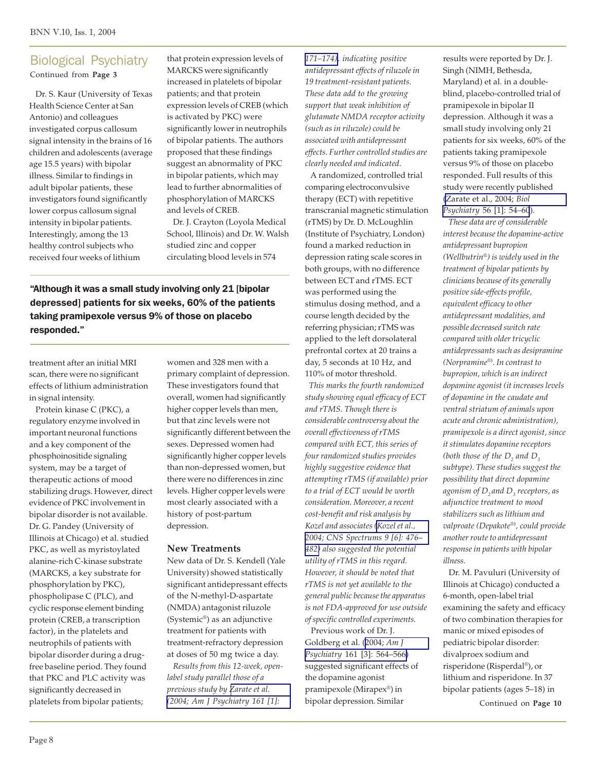#### Biological Psychiatry Continued from **Page 3**

 Dr. S. Kaur (University of Texas Health Science Center at San Antonio) and colleagues investigated corpus callosum signal intensity in the brains of 16 children and adolescents (average age 15.5 years) with bipolar illness. Similar to findings in adult bipolar patients, these investigators found significantly lower corpus callosum signal intensity in bipolar patients. Interestingly, among the 13 healthy control subjects who received four weeks of lithium

that protein expression levels of MARCKS were significantly increased in platelets of bipolar patients; and that protein expression levels of CREB (which is activated by PKC) were significantly lower in neutrophils of bipolar patients. The authors proposed that these findings suggest an abnormality of PKC in bipolar patients, which may lead to further abnormalities of phosphorylation of MARCKS and levels of CREB.

 Dr. J. Crayton (Loyola Medical School, Illinois) and Dr. W. Walsh studied zinc and copper circulating blood levels in 574

"Although it was a small study involving only 21 [bipolar depressed] patients for six weeks, 60% of the patients taking pramipexole versus 9% of those on placebo responded."

treatment after an initial MRI scan, there were no significant effects of lithium administration in signal intensity.

 Protein kinase C (PKC), a regulatory enzyme involved in important neuronal functions and a key component of the phosphoinositide signaling system, may be a target of therapeutic actions of mood stabilizing drugs. However, direct evidence of PKC involvement in bipolar disorder is not available. Dr. G. Pandey (University of Illinois at Chicago) et al. studied PKC, as well as myristoylated alanine-rich C-kinase substrate (MARCKS, a key substrate for phosphorylation by PKC), phospholipase C (PLC), and cyclic response element binding protein (CREB, a transcription factor), in the platelets and neutrophils of patients with bipolar disorder during a drugfree baseline period. They found that PKC and PLC activity was significantly decreased in platelets from bipolar patients;

women and 328 men with a primary complaint of depression. These investigators found that overall, women had significantly higher copper levels than men, but that zinc levels were not significantly different between the sexes. Depressed women had significantly higher copper levels than non-depressed women, but there were no differences in zinc levels. Higher copper levels were most clearly associated with a history of post-partum depression.

#### **New Treatments**

New data of Dr. S. Kendell (Yale University) showed statistically significant antidepressant effects of the N-methyl-D-aspartate (NMDA) antagonist riluzole (Systemic®) as an adjunctive treatment for patients with treatment-refractory depression at doses of 50 mg twice a day.

 *Results from this 12-week, openlabel study parallel those of a previous study by [Zarate et al.](http://www.ncbi.nlm.nih.gov/entrez/query.fcgi?cmd=Retrieve&db=pubmed&dopt=Abstract&list_uids=14702270) [\(2004; Am J Psychiatry 161 \[1\]:](http://www.ncbi.nlm.nih.gov/entrez/query.fcgi?cmd=Retrieve&db=pubmed&dopt=Abstract&list_uids=14702270)*

*[171–174\),](http://www.ncbi.nlm.nih.gov/entrez/query.fcgi?cmd=Retrieve&db=pubmed&dopt=Abstract&list_uids=14702270) indicating positive antidepressant effects of riluzole in 19 treatment-resistant patients. These data add to the growing support that weak inhibition of glutamate NMDA receptor activity (such as in riluzole) could be associated with antidepressant effects. Further controlled studies are clearly needed and indicated.*

 A randomized, controlled trial comparing electroconvulsive therapy (ECT) with repetitive transcranial magnetic stimulation (rTMS) by Dr. D. McLoughlin (Institute of Psychiatry, London) found a marked reduction in depression rating scale scores in both groups, with no difference between ECT and rTMS. ECT was performed using the stimulus dosing method, and a course length decided by the referring physician; rTMS was applied to the left dorsolateral prefrontal cortex at 20 trains a day, 5 seconds at 10 Hz, and 110% of motor threshold.  *This marks the fourth randomized study showing equal efficacy of ECT and rTMS. Though there is considerable controversy about the overall effectiveness of rTMS compared with ECT, this series of four randomized studies provides highly suggestive evidence that attempting rTMS (if available) prior to a trial of ECT would be worth consideration. Moreover, a recent cost-benefit and risk analysis by Kozel and associates [\(Kozel et al.,](http://www.ncbi.nlm.nih.gov/entrez/query.fcgi?cmd=Retrieve&db=pubmed&dopt=Abstract&list_uids=15162090) [2004; CNS Spectrums 9 \[6\]: 476](http://www.ncbi.nlm.nih.gov/entrez/query.fcgi?cmd=Retrieve&db=pubmed&dopt=Abstract&list_uids=15162090)*– *[482\)](http://www.ncbi.nlm.nih.gov/entrez/query.fcgi?cmd=Retrieve&db=pubmed&dopt=Abstract&list_uids=15162090) also suggested the potential utility of rTMS in this regard. However, it should be noted that rTMS is not yet available to the general public because the apparatus is not FDA-approved for use outside of specific controlled experiments.*

Previous work of Dr. J. Goldberg et al. [\(2004;](http://www.ncbi.nlm.nih.gov/entrez/query.fcgi?cmd=Retrieve&db=pubmed&dopt=Abstract&list_uids=14992985) *Am J Psychiatry* [161 \[3\]: 564–566\)](http://www.ncbi.nlm.nih.gov/entrez/query.fcgi?cmd=Retrieve&db=pubmed&dopt=Abstract&list_uids=14992985) suggested significant effects of the dopamine agonist pramipexole (Mirapex®) in bipolar depression. Similar

results were reported by Dr. J. Singh (NIMH, Bethesda, Maryland) et al. in a doubleblind, placebo-controlled trial of pramipexole in bipolar II depression. Although it was a small study involving only 21 patients for six weeks, 60% of the patients taking pramipexole versus 9% of those on placebo responded. Full results of this study were recently published [\(Zarate et al., 2004;](http://www.ncbi.nlm.nih.gov/entrez/query.fcgi?cmd=Retrieve&db=pubmed&dopt=Abstract&list_uids=15219473) *Biol Psychiatry* [56 \[1\]: 54](http://www.ncbi.nlm.nih.gov/entrez/query.fcgi?cmd=Retrieve&db=pubmed&dopt=Abstract&list_uids=15219473)*–*60).

 *These data are of considerable interest because the dopamine-active antidepressant bupropion (Wellbutrin®) is widely used in the treatment of bipolar patients by clinicians because of its generally positive side-effects profile, equivalent efficacy to other antidepressant modalities, and possible decreased switch rate compared with older tricyclic antidepressants such as desipramine (Norpramine*®)*. In contrast to bupropion, which is an indirect dopamine agonist (it increases levels of dopamine in the caudate and ventral striatum of animals upon acute and chronic administration), pramipexole is a direct agonist, since it stimulates dopamine receptors* (both those of the  $D_{_2}$  and  $D_{_3}$ *subtype). These studies suggest the possibility that direct dopamine agonism of D2 and D3 receptors, as adjunctive treatment to mood stabilizers such as lithium and valproate (Depakote*®)*, could provide another route to antidepressant response in patients with bipolar illness.*

 Dr. M. Pavuluri (University of Illinois at Chicago) conducted a 6-month, open-label trial examining the safety and efficacy of two combination therapies for manic or mixed episodes of pediatric bipolar disorder: divalproex sodium and risperidone (Risperdal®), or lithium and risperidone. In 37 bipolar patients (ages 5–18) in

Continued on **Page 10**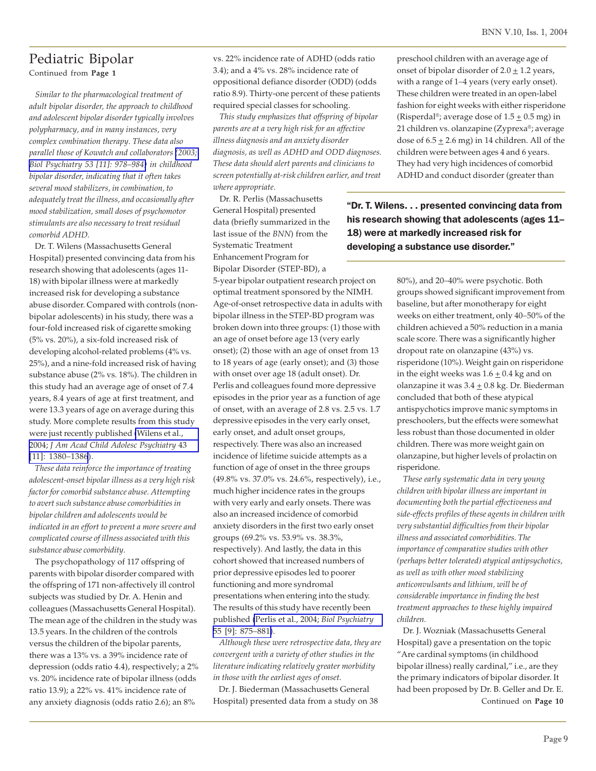## Pediatric Bipolar

Continued from **Page 1**

 *Similar to the pharmacological treatment of adult bipolar disorder, the approach to childhood and adolescent bipolar disorder typically involves polypharmacy, and in many instances, very complex combination therapy. These data also parallel those of Kowatch and collaborators [\(2003;](http://www.ncbi.nlm.nih.gov/entrez/query.fcgi?cmd=Retrieve&db=pubmed&dopt=Abstract&list_uids=12788243) [Biol Psychiatry 53 \[11\]: 978–984\)](http://www.ncbi.nlm.nih.gov/entrez/query.fcgi?cmd=Retrieve&db=pubmed&dopt=Abstract&list_uids=12788243) in childhood bipolar disorder, indicating that it often takes several mood stabilizers, in combination, to adequately treat the illness, and occasionally after mood stabilization, small doses of psychomotor stimulants are also necessary to treat residual comorbid ADHD.*

 Dr. T. Wilens (Massachusetts General Hospital) presented convincing data from his research showing that adolescents (ages 11- 18) with bipolar illness were at markedly increased risk for developing a substance abuse disorder. Compared with controls (nonbipolar adolescents) in his study, there was a four-fold increased risk of cigarette smoking (5% vs. 20%), a six-fold increased risk of developing alcohol-related problems (4% vs. 25%), and a nine-fold increased risk of having substance abuse (2% vs. 18%). The children in this study had an average age of onset of 7.4 years, 8.4 years of age at first treatment, and were 13.3 years of age on average during this study. More complete results from this study were just recently published [\(Wilens et al.,](http://www.ncbi.nlm.nih.gov/entrez/query.fcgi?cmd=Retrieve&db=pubmed&dopt=Abstract&list_uids=15502597) 2004; *[J Am Acad Child Adolesc Psychiatry](http://www.ncbi.nlm.nih.gov/entrez/query.fcgi?cmd=Retrieve&db=pubmed&dopt=Abstract&list_uids=15502597)* 43 [\[11\]: 1380](http://www.ncbi.nlm.nih.gov/entrez/query.fcgi?cmd=Retrieve&db=pubmed&dopt=Abstract&list_uids=15502597)*–*1386).

 *These data reinforce the importance of treating adolescent-onset bipolar illness as a very high risk factor for comorbid substance abuse. Attempting to avert such substance abuse comorbidities in bipolar children and adolescents would be indicated in an effort to prevent a more severe and complicated course of illness associated with this substance abuse comorbidity.*

 The psychopathology of 117 offspring of parents with bipolar disorder compared with the offspring of 171 non-affectively ill control subjects was studied by Dr. A. Henin and colleagues (Massachusetts General Hospital). The mean age of the children in the study was 13.5 years. In the children of the controls versus the children of the bipolar parents, there was a 13% vs. a 39% incidence rate of depression (odds ratio 4.4), respectively; a 2% vs. 20% incidence rate of bipolar illness (odds ratio 13.9); a 22% vs. 41% incidence rate of any anxiety diagnosis (odds ratio 2.6); an 8%

vs. 22% incidence rate of ADHD (odds ratio 3.4); and a 4% vs. 28% incidence rate of oppositional defiance disorder (ODD) (odds ratio 8.9). Thirty-one percent of these patients required special classes for schooling.

 *This study emphasizes that offspring of bipolar parents are at a very high risk for an affective illness diagnosis and an anxiety disorder diagnosis, as well as ADHD and ODD diagnoses. These data should alert parents and clinicians to screen potentially at-risk children earlier, and treat where appropriate.*

 Dr. R. Perlis (Massachusetts General Hospital) presented data (briefly summarized in the last issue of the *BNN*) from the Systematic Treatment Enhancement Program for Bipolar Disorder (STEP-BD), a

5-year bipolar outpatient research project on optimal treatment sponsored by the NIMH. Age-of-onset retrospective data in adults with bipolar illness in the STEP-BD program was broken down into three groups: (1) those with an age of onset before age 13 (very early onset); (2) those with an age of onset from 13 to 18 years of age (early onset); and (3) those with onset over age 18 (adult onset). Dr. Perlis and colleagues found more depressive episodes in the prior year as a function of age of onset, with an average of 2.8 vs. 2.5 vs. 1.7 depressive episodes in the very early onset, early onset, and adult onset groups, respectively. There was also an increased incidence of lifetime suicide attempts as a function of age of onset in the three groups (49.8% vs. 37.0% vs. 24.6%, respectively), i.e., much higher incidence rates in the groups with very early and early onsets. There was also an increased incidence of comorbid anxiety disorders in the first two early onset groups (69.2% vs. 53.9% vs. 38.3%, respectively). And lastly, the data in this cohort showed that increased numbers of prior depressive episodes led to poorer functioning and more syndromal presentations when entering into the study. The results of this study have recently been published [\(Perlis et al., 2004;](http://www.ncbi.nlm.nih.gov/entrez/query.fcgi?cmd=Retrieve&db=pubmed&dopt=Abstract&list_uids=15110730) *Biol Psychiatry* [55 \[9\]: 875](http://www.ncbi.nlm.nih.gov/entrez/query.fcgi?cmd=Retrieve&db=pubmed&dopt=Abstract&list_uids=15110730)*–*881).

 *Although these were retrospective data, they are convergent with a variety of other studies in the literature indicating relatively greater morbidity in those with the earliest ages of onset.*

 Dr. J. Biederman (Massachusetts General Hospital) presented data from a study on 38 preschool children with an average age of onset of bipolar disorder of  $2.0 \pm 1.2$  years, with a range of 1*–*4 years (very early onset). These children were treated in an open-label fashion for eight weeks with either risperidone (Risperdal®; average dose of  $1.5 \pm 0.5$  mg) in 21 children vs. olanzapine (Zyprexa®; average dose of  $6.5 \pm 2.6$  mg) in 14 children. All of the children were between ages 4 and 6 years. They had very high incidences of comorbid ADHD and conduct disorder (greater than

"Dr. T. Wilens. . . presented convincing data from his research showing that adolescents (ages 11– 18) were at markedly increased risk for developing a substance use disorder."

> 80%), and 20*–*40% were psychotic. Both groups showed significant improvement from baseline, but after monotherapy for eight weeks on either treatment, only 40*–*50% of the children achieved a 50% reduction in a mania scale score. There was a significantly higher dropout rate on olanzapine (43%) vs. risperidone (10%). Weight gain on risperidone in the eight weeks was  $1.6 \pm 0.4$  kg and on olanzapine it was  $3.4 \pm 0.8$  kg. Dr. Biederman concluded that both of these atypical antispychotics improve manic symptoms in preschoolers, but the effects were somewhat less robust than those documented in older children. There was more weight gain on olanzapine, but higher levels of prolactin on risperidone.

> *These early systematic data in very young children with bipolar illness are important in documenting both the partial effectiveness and side-effects profiles of these agents in children with very substantial difficulties from their bipolar illness and associated comorbidities. The importance of comparative studies with other (perhaps better tolerated) atypical antipsychotics, as well as with other mood stabilizing anticonvulsants and lithium, will be of considerable importance in finding the best treatment approaches to these highly impaired children.*

> Continued on **Page 10** Dr. J. Wozniak (Massachusetts General Hospital) gave a presentation on the topic "Are cardinal symptoms (in childhood bipolar illness) really cardinal," i.e., are they the primary indicators of bipolar disorder. It had been proposed by Dr. B. Geller and Dr. E.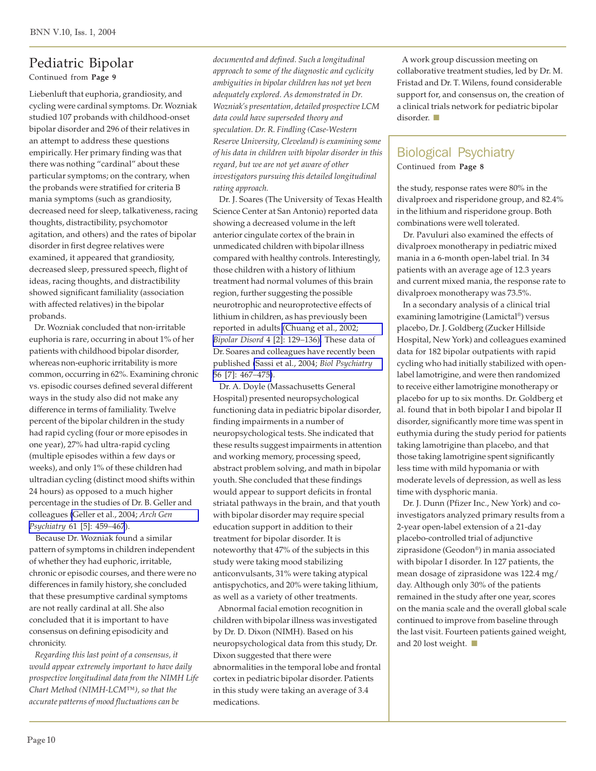## Pediatric Bipolar

Continued from **Page 9**

Liebenluft that euphoria, grandiosity, and cycling were cardinal symptoms. Dr. Wozniak studied 107 probands with childhood-onset bipolar disorder and 296 of their relatives in an attempt to address these questions empirically. Her primary finding was that there was nothing "cardinal" about these particular symptoms; on the contrary, when the probands were stratified for criteria B mania symptoms (such as grandiosity, decreased need for sleep, talkativeness, racing thoughts, distractibility, psychomotor agitation, and others) and the rates of bipolar disorder in first degree relatives were examined, it appeared that grandiosity, decreased sleep, pressured speech, flight of ideas, racing thoughts, and distractibility showed significant familiality (association with affected relatives) in the bipolar probands.

 Dr. Wozniak concluded that non-irritable euphoria is rare, occurring in about 1% of her patients with childhood bipolar disorder, whereas non-euphoric irritability is more common, occurring in 62%. Examining chronic vs. episodic courses defined several different ways in the study also did not make any difference in terms of familiality. Twelve percent of the bipolar children in the study had rapid cycling (four or more episodes in one year), 27% had ultra-rapid cycling (multiple episodes within a few days or weeks), and only 1% of these children had ultradian cycling (distinct mood shifts within 24 hours) as opposed to a much higher percentage in the studies of Dr. B. Geller and colleagues [\(Geller et al., 2004;](http://www.ncbi.nlm.nih.gov/entrez/query.fcgi?cmd=Retrieve&db=pubmed&dopt=Abstract&list_uids=15123490) *Arch Gen Psychiatry* [61 \[5\]: 459](http://www.ncbi.nlm.nih.gov/entrez/query.fcgi?cmd=Retrieve&db=pubmed&dopt=Abstract&list_uids=15123490)*–*467).

 Because Dr. Wozniak found a similar pattern of symptoms in children independent of whether they had euphoric, irritable, chronic or episodic courses, and there were no differences in family history, she concluded that these presumptive cardinal symptoms are not really cardinal at all. She also concluded that it is important to have consensus on defining episodicity and chronicity.

 *Regarding this last point of a consensus, it would appear extremely important to have daily prospective longitudinal data from the NIMH Life Chart Method (NIMH-LCM*™*), so that the accurate patterns of mood fluctuations can be*

*documented and defined. Such a longitudinal approach to some of the diagnostic and cyclicity ambiguities in bipolar children has not yet been adequately explored. As demonstrated in Dr. Wozniak's presentation, detailed prospective LCM data could have superseded theory and speculation. Dr. R. Findling (Case-Western Reserve University, Cleveland) is examining some of his data in children with bipolar disorder in this regard, but we are not yet aware of other investigators pursuing this detailed longitudinal rating approach.*

Dr. J. Soares (The University of Texas Health Science Center at San Antonio) reported data showing a decreased volume in the left anterior cingulate cortex of the brain in unmedicated children with bipolar illness compared with healthy controls. Interestingly, those children with a history of lithium treatment had normal volumes of this brain region, further suggesting the possible neurotrophic and neuroprotective effects of lithium in children, as has previously been reported in adults [\(Chuang et al., 2002;](http://www.ncbi.nlm.nih.gov/entrez/query.fcgi?cmd=Retrieve&db=pubmed&dopt=Abstract&list_uids=12071510) *[Bipolar Disord](http://www.ncbi.nlm.nih.gov/entrez/query.fcgi?cmd=Retrieve&db=pubmed&dopt=Abstract&list_uids=12071510)* 4 [2]: 129*–*136). These data of Dr. Soares and colleagues have recently been published [\(Sassi et al., 2004;](http://www.ncbi.nlm.nih.gov/entrez/query.fcgi?cmd=Retrieve&db=pubmed&dopt=Abstract&list_uids=15450781) *Biol Psychiatry* [56 \[7\]: 467](http://www.ncbi.nlm.nih.gov/entrez/query.fcgi?cmd=Retrieve&db=pubmed&dopt=Abstract&list_uids=15450781)*–*475).

 Dr. A. Doyle (Massachusetts General Hospital) presented neuropsychological functioning data in pediatric bipolar disorder, finding impairments in a number of neuropsychological tests. She indicated that these results suggest impairments in attention and working memory, processing speed, abstract problem solving, and math in bipolar youth. She concluded that these findings would appear to support deficits in frontal striatal pathways in the brain, and that youth with bipolar disorder may require special education support in addition to their treatment for bipolar disorder. It is noteworthy that 47% of the subjects in this study were taking mood stabilizing anticonvulsants, 31% were taking atypical antispychotics, and 20% were taking lithium, as well as a variety of other treatments.

 Abnormal facial emotion recognition in children with bipolar illness was investigated by Dr. D. Dixon (NIMH). Based on his neuropsychological data from this study, Dr. Dixon suggested that there were abnormalities in the temporal lobe and frontal cortex in pediatric bipolar disorder. Patients in this study were taking an average of 3.4 medications.

 A work group discussion meeting on collaborative treatment studies, led by Dr. M. Fristad and Dr. T. Wilens, found considerable support for, and consensus on, the creation of a clinical trials network for pediatric bipolar disorder.

# Biological Psychiatry

Continued from **Page 8**

the study, response rates were 80% in the divalproex and risperidone group, and 82.4% in the lithium and risperidone group. Both combinations were well tolerated.

 Dr. Pavuluri also examined the effects of divalproex monotherapy in pediatric mixed mania in a 6-month open-label trial. In 34 patients with an average age of 12.3 years and current mixed mania, the response rate to divalproex monotherapy was 73.5%.

 In a secondary analysis of a clinical trial examining lamotrigine (Lamictal®) versus placebo, Dr. J. Goldberg (Zucker Hillside Hospital, New York) and colleagues examined data for 182 bipolar outpatients with rapid cycling who had initially stabilized with openlabel lamotrigine, and were then randomized to receive either lamotrigine monotherapy or placebo for up to six months. Dr. Goldberg et al. found that in both bipolar I and bipolar II disorder, significantly more time was spent in euthymia during the study period for patients taking lamotrigine than placebo, and that those taking lamotrigine spent significantly less time with mild hypomania or with moderate levels of depression, as well as less time with dysphoric mania.

 Dr. J. Dunn (Pfizer Inc., New York) and coinvestigators analyzed primary results from a 2-year open-label extension of a 21-day placebo-controlled trial of adjunctive ziprasidone (Geodon®) in mania associated with bipolar I disorder. In 127 patients, the mean dosage of ziprasidone was 122.4 mg/ day. Although only 30% of the patients remained in the study after one year, scores on the mania scale and the overall global scale continued to improve from baseline through the last visit. Fourteen patients gained weight, and 20 lost weight.  $\blacksquare$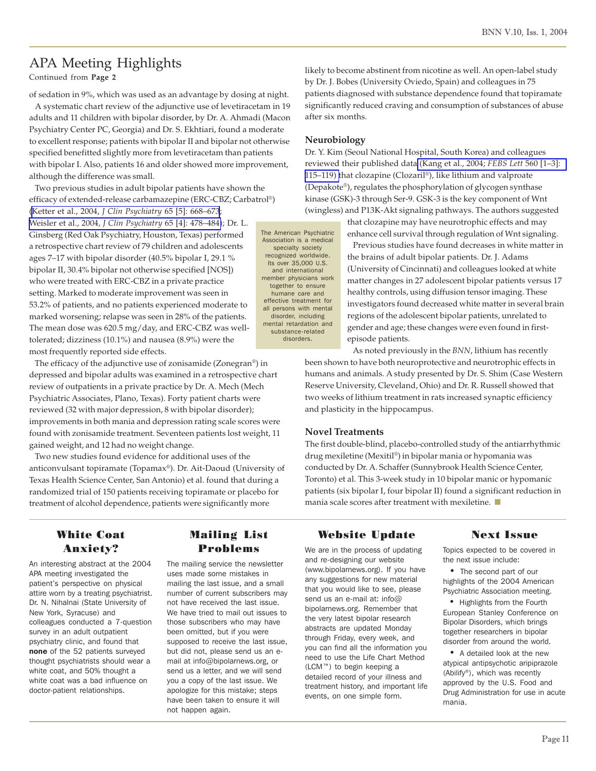# APA Meeting Highlights

Continued from **Page 2**

of sedation in 9%, which was used as an advantage by dosing at night.

 A systematic chart review of the adjunctive use of levetiracetam in 19 adults and 11 children with bipolar disorder, by Dr. A. Ahmadi (Macon Psychiatry Center PC, Georgia) and Dr. S. Ekhtiari, found a moderate to excellent response; patients with bipolar II and bipolar not otherwise specified benefitted slightly more from levetiracetam than patients with bipolar I. Also, patients 16 and older showed more improvement, although the difference was small.

 Two previous studies in adult bipolar patients have shown the efficacy of extended-release carbamazepine (ERC-CBZ; Carbatrol®) ([Ketter et al., 2004,](http://www.ncbi.nlm.nih.gov/entrez/query.fcgi?cmd=Retrieve&db=pubmed&dopt=Abstract&list_uids=15163253) *J Clin Psychiatry* 65 [5]: 668–673; [Weisler et al., 2004,](http://www.ncbi.nlm.nih.gov/entrez/query.fcgi?cmd=Retrieve&db=pubmed&dopt=Abstract&list_uids=15119909) *J Clin Psychiatry* 65 [4]: 478–484); Dr. L. Ginsberg (Red Oak Psychiatry, Houston, Texas) performed a retrospective chart review of 79 children and adolescents ages 7–17 with bipolar disorder (40.5% bipolar I, 29.1 % bipolar II, 30.4% bipolar not otherwise specified [NOS]) who were treated with ERC-CBZ in a private practice setting. Marked to moderate improvement was seen in 53.2% of patients, and no patients experienced moderate to marked worsening; relapse was seen in 28% of the patients. The mean dose was 620.5 mg/day, and ERC-CBZ was welltolerated; dizziness (10.1%) and nausea (8.9%) were the most frequently reported side effects. The American Psychiatric Association is a medical member physicians work mental retardation and

 The efficacy of the adjunctive use of zonisamide (Zonegran®) in depressed and bipolar adults was examined in a retrospective chart review of outpatients in a private practice by Dr. A. Mech (Mech Psychiatric Associates, Plano, Texas). Forty patient charts were reviewed (32 with major depression, 8 with bipolar disorder); improvements in both mania and depression rating scale scores were found with zonisamide treatment. Seventeen patients lost weight, 11 gained weight, and 12 had no weight change.

 Two new studies found evidence for additional uses of the anticonvulsant topiramate (Topamax®). Dr. Ait-Daoud (University of Texas Health Science Center, San Antonio) et al. found that during a randomized trial of 150 patients receiving topiramate or placebo for treatment of alcohol dependence, patients were significantly more

likely to become abstinent from nicotine as well. An open-label study by Dr. J. Bobes (University Oviedo, Spain) and colleagues in 75 patients diagnosed with substance dependence found that topiramate significantly reduced craving and consumption of substances of abuse after six months.

#### **Neurobiology**

specialty society recognized worldwide. Its over 35,000 U.S. and international

together to ensure humane care and effective treatment for all persons with mental disorder, including

> substance-related disorders.

Dr. Y. Kim (Seoul National Hospital, South Korea) and colleagues reviewed their published data [\(Kang et al., 2004;](http://www.ncbi.nlm.nih.gov/entrez/query.fcgi?cmd=Retrieve&db=pubmed&dopt=Abstract&list_uids=14988008) *FEBS Lett* 560 [1–3]: [115–119\) t](http://www.ncbi.nlm.nih.gov/entrez/query.fcgi?cmd=Retrieve&db=pubmed&dopt=Abstract&list_uids=14988008)hat clozapine (Clozaril®), like lithium and valproate (Depakote®), regulates the phosphorylation of glycogen synthase kinase (GSK)-3 through Ser-9. GSK-3 is the key component of Wnt (wingless) and P13K-Akt signaling pathways. The authors suggested

> that clozapine may have neurotrophic effects and may enhance cell survival through regulation of Wnt signaling.

 Previous studies have found decreases in white matter in the brains of adult bipolar patients. Dr. J. Adams (University of Cincinnati) and colleagues looked at white matter changes in 27 adolescent bipolar patients versus 17 healthy controls, using diffusion tensor imaging. These investigators found decreased white matter in several brain regions of the adolescent bipolar patients, unrelated to gender and age; these changes were even found in firstepisode patients.

 As noted previously in the *BNN*, lithium has recently been shown to have both neuroprotective and neurotrophic effects in humans and animals. A study presented by Dr. S. Shim (Case Western Reserve University, Cleveland, Ohio) and Dr. R. Russell showed that two weeks of lithium treatment in rats increased synaptic efficiency and plasticity in the hippocampus.

#### **Novel Treatments**

The first double-blind, placebo-controlled study of the antiarrhythmic drug mexiletine (Mexitil®) in bipolar mania or hypomania was conducted by Dr. A. Schaffer (Sunnybrook Health Science Center, Toronto) et al. This 3-week study in 10 bipolar manic or hypomanic patients (six bipolar I, four bipolar II) found a significant reduction in mania scale scores after treatment with mexiletine.  $\blacksquare$ 

#### White Coat Anxiety?

An interesting abstract at the 2004 APA meeting investigated the patient's perspective on physical attire worn by a treating psychiatrist. Dr. N. Nihalnai (State University of New York, Syracuse) and colleagues conducted a 7-question survey in an adult outpatient psychiatry clinic, and found that none of the 52 patients surveyed thought psychiatrists should wear a white coat, and 50% thought a white coat was a bad influence on doctor-patient relationships.

#### Mailing List Problems

The mailing service the newsletter uses made some mistakes in mailing the last issue, and a small number of current subscribers may not have received the last issue. We have tried to mail out issues to those subscribers who may have been omitted, but if you were supposed to receive the last issue, but did not, please send us an email at info@bipolarnews.org, or send us a letter, and we will send you a copy of the last issue. We apologize for this mistake; steps have been taken to ensure it will not happen again.

#### Website Update

We are in the process of updating and re-designing our website (www.bipolarnews.org). If you have any suggestions for new material that you would like to see, please send us an e-mail at: info@ bipolarnews.org. Remember that the very latest bipolar research abstracts are updated Monday through Friday, every week, and you can find all the information you need to use the Life Chart Method (LCM™) to begin keeping a detailed record of your illness and treatment history, and important life events, on one simple form.

#### Next Issue

Topics expected to be covered in the next issue include:

 • The second part of our highlights of the 2004 American Psychiatric Association meeting.

 • Highlights from the Fourth European Stanley Conference on Bipolar Disorders, which brings together researchers in bipolar disorder from around the world.

 • A detailed look at the new atypical antipsychotic aripiprazole (Abilify®), which was recently approved by the U.S. Food and Drug Administration for use in acute mania.